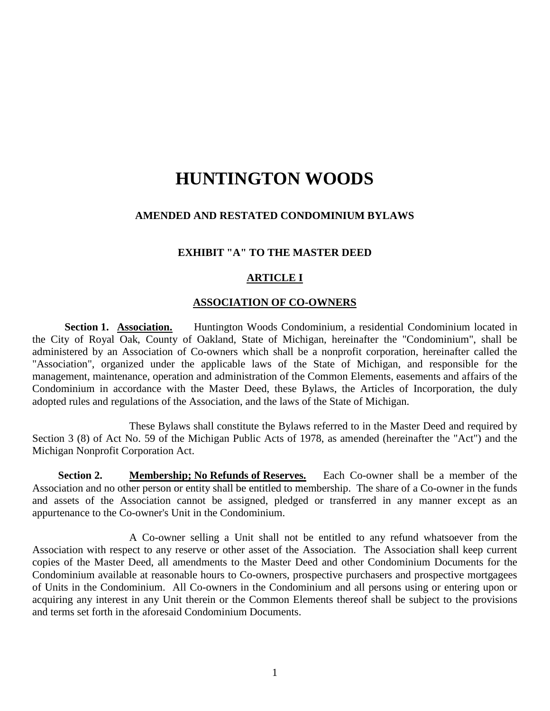# **HUNTINGTON WOODS**

### **AMENDED AND RESTATED CONDOMINIUM BYLAWS**

### **EXHIBIT "A" TO THE MASTER DEED**

#### **ARTICLE I**

### **ASSOCIATION OF CO-OWNERS**

**Section 1. Association.** Huntington Woods Condominium, a residential Condominium located in the City of Royal Oak, County of Oakland, State of Michigan, hereinafter the "Condominium", shall be administered by an Association of Co-owners which shall be a nonprofit corporation, hereinafter called the "Association", organized under the applicable laws of the State of Michigan, and responsible for the management, maintenance, operation and administration of the Common Elements, easements and affairs of the Condominium in accordance with the Master Deed, these Bylaws, the Articles of Incorporation, the duly adopted rules and regulations of the Association, and the laws of the State of Michigan.

These Bylaws shall constitute the Bylaws referred to in the Master Deed and required by Section 3 (8) of Act No. 59 of the Michigan Public Acts of 1978, as amended (hereinafter the "Act") and the Michigan Nonprofit Corporation Act.

**Section 2. Membership; No Refunds of Reserves.** Each Co-owner shall be a member of the Association and no other person or entity shall be entitled to membership. The share of a Co-owner in the funds and assets of the Association cannot be assigned, pledged or transferred in any manner except as an appurtenance to the Co-owner's Unit in the Condominium.

A Co-owner selling a Unit shall not be entitled to any refund whatsoever from the Association with respect to any reserve or other asset of the Association. The Association shall keep current copies of the Master Deed, all amendments to the Master Deed and other Condominium Documents for the Condominium available at reasonable hours to Co-owners, prospective purchasers and prospective mortgagees of Units in the Condominium. All Co-owners in the Condominium and all persons using or entering upon or acquiring any interest in any Unit therein or the Common Elements thereof shall be subject to the provisions and terms set forth in the aforesaid Condominium Documents.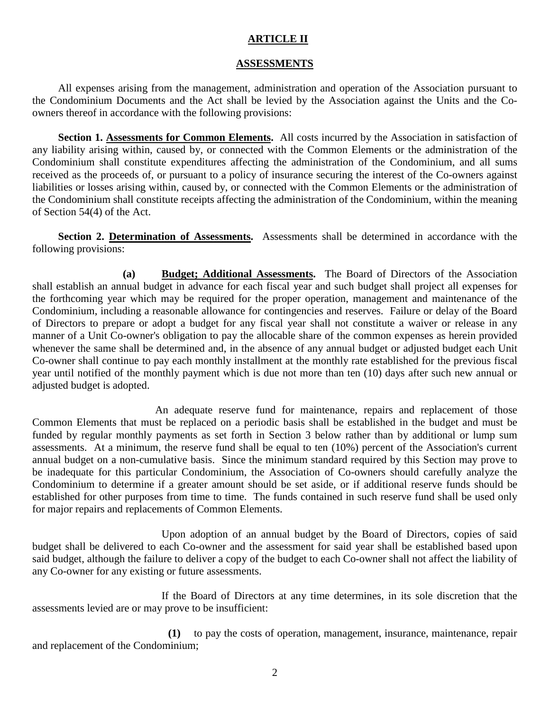### **ARTICLE II**

### **ASSESSMENTS**

All expenses arising from the management, administration and operation of the Association pursuant to the Condominium Documents and the Act shall be levied by the Association against the Units and the Coowners thereof in accordance with the following provisions:

**Section 1. Assessments for Common Elements.** All costs incurred by the Association in satisfaction of any liability arising within, caused by, or connected with the Common Elements or the administration of the Condominium shall constitute expenditures affecting the administration of the Condominium, and all sums received as the proceeds of, or pursuant to a policy of insurance securing the interest of the Co-owners against liabilities or losses arising within, caused by, or connected with the Common Elements or the administration of the Condominium shall constitute receipts affecting the administration of the Condominium, within the meaning of Section 54(4) of the Act.

**Section 2. Determination of Assessments.** Assessments shall be determined in accordance with the following provisions:

**(a) Budget; Additional Assessments.** The Board of Directors of the Association shall establish an annual budget in advance for each fiscal year and such budget shall project all expenses for the forthcoming year which may be required for the proper operation, management and maintenance of the Condominium, including a reasonable allowance for contingencies and reserves. Failure or delay of the Board of Directors to prepare or adopt a budget for any fiscal year shall not constitute a waiver or release in any manner of a Unit Co-owner's obligation to pay the allocable share of the common expenses as herein provided whenever the same shall be determined and, in the absence of any annual budget or adjusted budget each Unit Co-owner shall continue to pay each monthly installment at the monthly rate established for the previous fiscal year until notified of the monthly payment which is due not more than ten (10) days after such new annual or adjusted budget is adopted.

An adequate reserve fund for maintenance, repairs and replacement of those Common Elements that must be replaced on a periodic basis shall be established in the budget and must be funded by regular monthly payments as set forth in Section 3 below rather than by additional or lump sum assessments. At a minimum, the reserve fund shall be equal to ten (10%) percent of the Association's current annual budget on a non-cumulative basis. Since the minimum standard required by this Section may prove to be inadequate for this particular Condominium, the Association of Co-owners should carefully analyze the Condominium to determine if a greater amount should be set aside, or if additional reserve funds should be established for other purposes from time to time. The funds contained in such reserve fund shall be used only for major repairs and replacements of Common Elements.

Upon adoption of an annual budget by the Board of Directors, copies of said budget shall be delivered to each Co-owner and the assessment for said year shall be established based upon said budget, although the failure to deliver a copy of the budget to each Co-owner shall not affect the liability of any Co-owner for any existing or future assessments.

If the Board of Directors at any time determines, in its sole discretion that the assessments levied are or may prove to be insufficient:

**(1)** to pay the costs of operation, management, insurance, maintenance, repair and replacement of the Condominium;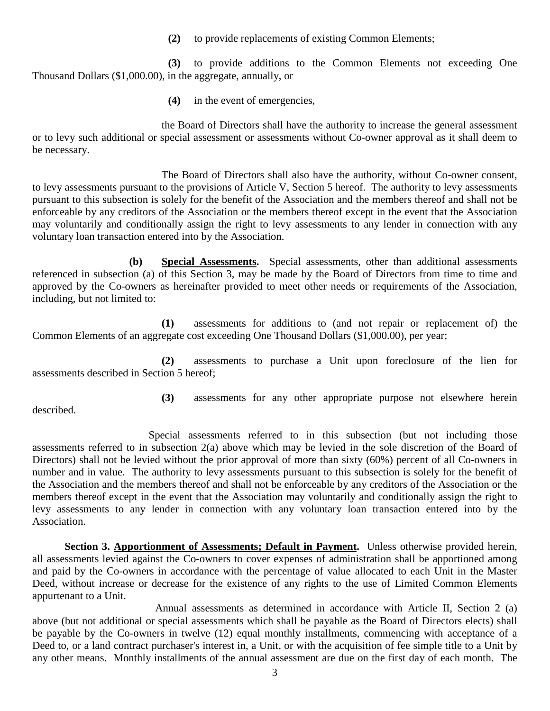**(2)** to provide replacements of existing Common Elements;

**(3)** to provide additions to the Common Elements not exceeding One Thousand Dollars (\$1,000.00), in the aggregate, annually, or

**(4)** in the event of emergencies,

the Board of Directors shall have the authority to increase the general assessment or to levy such additional or special assessment or assessments without Co-owner approval as it shall deem to be necessary.

The Board of Directors shall also have the authority, without Co-owner consent, to levy assessments pursuant to the provisions of Article V, Section 5 hereof. The authority to levy assessments pursuant to this subsection is solely for the benefit of the Association and the members thereof and shall not be enforceable by any creditors of the Association or the members thereof except in the event that the Association may voluntarily and conditionally assign the right to levy assessments to any lender in connection with any voluntary loan transaction entered into by the Association.

**(b) Special Assessments.** Special assessments, other than additional assessments referenced in subsection (a) of this Section 3, may be made by the Board of Directors from time to time and approved by the Co-owners as hereinafter provided to meet other needs or requirements of the Association, including, but not limited to:

**(1)** assessments for additions to (and not repair or replacement of) the Common Elements of an aggregate cost exceeding One Thousand Dollars (\$1,000.00), per year;

**(2)** assessments to purchase a Unit upon foreclosure of the lien for assessments described in Section 5 hereof;

described.

**(3)** assessments for any other appropriate purpose not elsewhere herein

Special assessments referred to in this subsection (but not including those assessments referred to in subsection 2(a) above which may be levied in the sole discretion of the Board of Directors) shall not be levied without the prior approval of more than sixty (60%) percent of all Co-owners in number and in value. The authority to levy assessments pursuant to this subsection is solely for the benefit of the Association and the members thereof and shall not be enforceable by any creditors of the Association or the members thereof except in the event that the Association may voluntarily and conditionally assign the right to levy assessments to any lender in connection with any voluntary loan transaction entered into by the Association.

Section 3. **Apportionment of Assessments; Default in Payment.** Unless otherwise provided herein, all assessments levied against the Co-owners to cover expenses of administration shall be apportioned among and paid by the Co-owners in accordance with the percentage of value allocated to each Unit in the Master Deed, without increase or decrease for the existence of any rights to the use of Limited Common Elements appurtenant to a Unit.

Annual assessments as determined in accordance with Article II, Section 2 (a) above (but not additional or special assessments which shall be payable as the Board of Directors elects) shall be payable by the Co-owners in twelve (12) equal monthly installments, commencing with acceptance of a Deed to, or a land contract purchaser's interest in, a Unit, or with the acquisition of fee simple title to a Unit by any other means. Monthly installments of the annual assessment are due on the first day of each month. The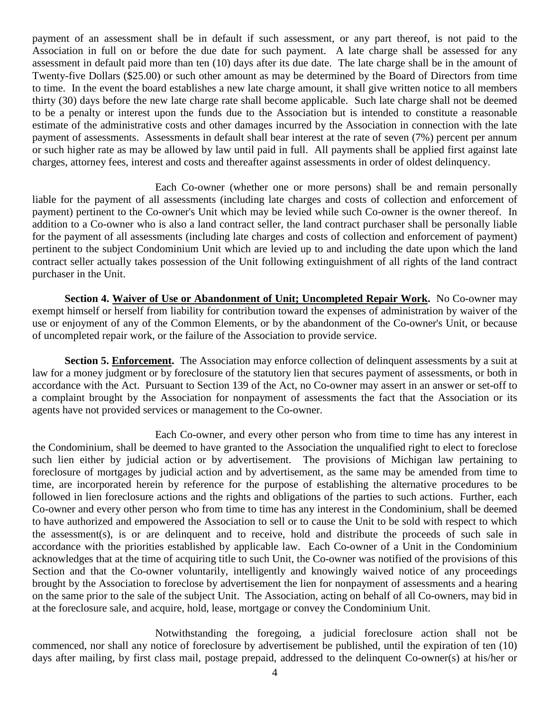payment of an assessment shall be in default if such assessment, or any part thereof, is not paid to the Association in full on or before the due date for such payment. A late charge shall be assessed for any assessment in default paid more than ten (10) days after its due date. The late charge shall be in the amount of Twenty-five Dollars (\$25.00) or such other amount as may be determined by the Board of Directors from time to time. In the event the board establishes a new late charge amount, it shall give written notice to all members thirty (30) days before the new late charge rate shall become applicable. Such late charge shall not be deemed to be a penalty or interest upon the funds due to the Association but is intended to constitute a reasonable estimate of the administrative costs and other damages incurred by the Association in connection with the late payment of assessments. Assessments in default shall bear interest at the rate of seven (7%) percent per annum or such higher rate as may be allowed by law until paid in full. All payments shall be applied first against late charges, attorney fees, interest and costs and thereafter against assessments in order of oldest delinquency.

Each Co-owner (whether one or more persons) shall be and remain personally liable for the payment of all assessments (including late charges and costs of collection and enforcement of payment) pertinent to the Co-owner's Unit which may be levied while such Co-owner is the owner thereof. In addition to a Co-owner who is also a land contract seller, the land contract purchaser shall be personally liable for the payment of all assessments (including late charges and costs of collection and enforcement of payment) pertinent to the subject Condominium Unit which are levied up to and including the date upon which the land contract seller actually takes possession of the Unit following extinguishment of all rights of the land contract purchaser in the Unit.

**Section 4. Waiver of Use or Abandonment of Unit; Uncompleted Repair Work.** No Co-owner may exempt himself or herself from liability for contribution toward the expenses of administration by waiver of the use or enjoyment of any of the Common Elements, or by the abandonment of the Co-owner's Unit, or because of uncompleted repair work, or the failure of the Association to provide service.

**Section 5. Enforcement.** The Association may enforce collection of delinquent assessments by a suit at law for a money judgment or by foreclosure of the statutory lien that secures payment of assessments, or both in accordance with the Act. Pursuant to Section 139 of the Act, no Co-owner may assert in an answer or set-off to a complaint brought by the Association for nonpayment of assessments the fact that the Association or its agents have not provided services or management to the Co-owner.

Each Co-owner, and every other person who from time to time has any interest in the Condominium, shall be deemed to have granted to the Association the unqualified right to elect to foreclose such lien either by judicial action or by advertisement. The provisions of Michigan law pertaining to foreclosure of mortgages by judicial action and by advertisement, as the same may be amended from time to time, are incorporated herein by reference for the purpose of establishing the alternative procedures to be followed in lien foreclosure actions and the rights and obligations of the parties to such actions. Further, each Co-owner and every other person who from time to time has any interest in the Condominium, shall be deemed to have authorized and empowered the Association to sell or to cause the Unit to be sold with respect to which the assessment(s), is or are delinquent and to receive, hold and distribute the proceeds of such sale in accordance with the priorities established by applicable law. Each Co-owner of a Unit in the Condominium acknowledges that at the time of acquiring title to such Unit, the Co-owner was notified of the provisions of this Section and that the Co-owner voluntarily, intelligently and knowingly waived notice of any proceedings brought by the Association to foreclose by advertisement the lien for nonpayment of assessments and a hearing on the same prior to the sale of the subject Unit. The Association, acting on behalf of all Co-owners, may bid in at the foreclosure sale, and acquire, hold, lease, mortgage or convey the Condominium Unit.

Notwithstanding the foregoing, a judicial foreclosure action shall not be commenced, nor shall any notice of foreclosure by advertisement be published, until the expiration of ten (10) days after mailing, by first class mail, postage prepaid, addressed to the delinquent Co-owner(s) at his/her or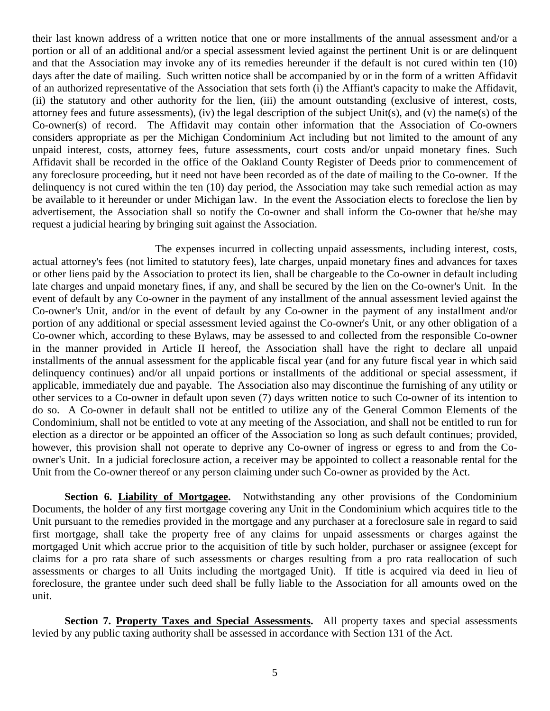their last known address of a written notice that one or more installments of the annual assessment and/or a portion or all of an additional and/or a special assessment levied against the pertinent Unit is or are delinquent and that the Association may invoke any of its remedies hereunder if the default is not cured within ten (10) days after the date of mailing. Such written notice shall be accompanied by or in the form of a written Affidavit of an authorized representative of the Association that sets forth (i) the Affiant's capacity to make the Affidavit, (ii) the statutory and other authority for the lien, (iii) the amount outstanding (exclusive of interest, costs, attorney fees and future assessments), (iv) the legal description of the subject Unit(s), and (v) the name(s) of the Co-owner(s) of record. The Affidavit may contain other information that the Association of Co-owners considers appropriate as per the Michigan Condominium Act including but not limited to the amount of any unpaid interest, costs, attorney fees, future assessments, court costs and/or unpaid monetary fines. Such Affidavit shall be recorded in the office of the Oakland County Register of Deeds prior to commencement of any foreclosure proceeding, but it need not have been recorded as of the date of mailing to the Co-owner. If the delinquency is not cured within the ten (10) day period, the Association may take such remedial action as may be available to it hereunder or under Michigan law. In the event the Association elects to foreclose the lien by advertisement, the Association shall so notify the Co-owner and shall inform the Co-owner that he/she may request a judicial hearing by bringing suit against the Association.

The expenses incurred in collecting unpaid assessments, including interest, costs, actual attorney's fees (not limited to statutory fees), late charges, unpaid monetary fines and advances for taxes or other liens paid by the Association to protect its lien, shall be chargeable to the Co-owner in default including late charges and unpaid monetary fines, if any, and shall be secured by the lien on the Co-owner's Unit. In the event of default by any Co-owner in the payment of any installment of the annual assessment levied against the Co-owner's Unit, and/or in the event of default by any Co-owner in the payment of any installment and/or portion of any additional or special assessment levied against the Co-owner's Unit, or any other obligation of a Co-owner which, according to these Bylaws, may be assessed to and collected from the responsible Co-owner in the manner provided in Article II hereof, the Association shall have the right to declare all unpaid installments of the annual assessment for the applicable fiscal year (and for any future fiscal year in which said delinquency continues) and/or all unpaid portions or installments of the additional or special assessment, if applicable, immediately due and payable. The Association also may discontinue the furnishing of any utility or other services to a Co-owner in default upon seven (7) days written notice to such Co-owner of its intention to do so. A Co-owner in default shall not be entitled to utilize any of the General Common Elements of the Condominium, shall not be entitled to vote at any meeting of the Association, and shall not be entitled to run for election as a director or be appointed an officer of the Association so long as such default continues; provided, however, this provision shall not operate to deprive any Co-owner of ingress or egress to and from the Coowner's Unit. In a judicial foreclosure action, a receiver may be appointed to collect a reasonable rental for the Unit from the Co-owner thereof or any person claiming under such Co-owner as provided by the Act.

**Section 6. Liability of Mortgagee.** Notwithstanding any other provisions of the Condominium Documents, the holder of any first mortgage covering any Unit in the Condominium which acquires title to the Unit pursuant to the remedies provided in the mortgage and any purchaser at a foreclosure sale in regard to said first mortgage, shall take the property free of any claims for unpaid assessments or charges against the mortgaged Unit which accrue prior to the acquisition of title by such holder, purchaser or assignee (except for claims for a pro rata share of such assessments or charges resulting from a pro rata reallocation of such assessments or charges to all Units including the mortgaged Unit). If title is acquired via deed in lieu of foreclosure, the grantee under such deed shall be fully liable to the Association for all amounts owed on the unit.

**Section 7. Property Taxes and Special Assessments.** All property taxes and special assessments levied by any public taxing authority shall be assessed in accordance with Section 131 of the Act.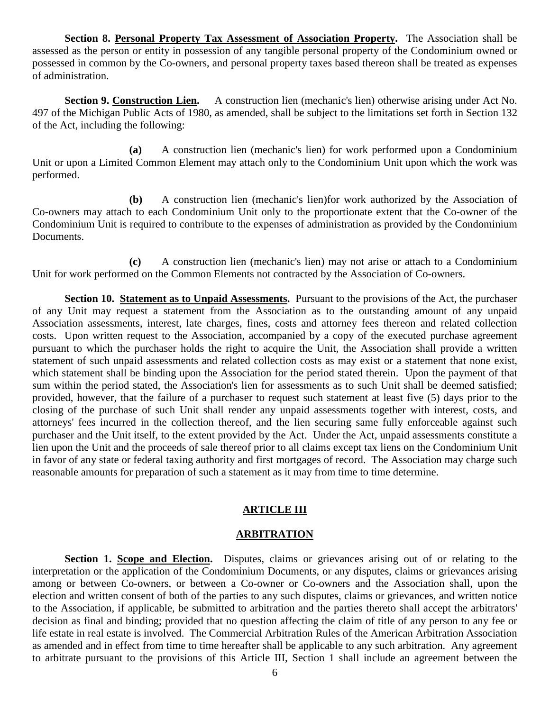**Section 8. Personal Property Tax Assessment of Association Property.** The Association shall be assessed as the person or entity in possession of any tangible personal property of the Condominium owned or possessed in common by the Co-owners, and personal property taxes based thereon shall be treated as expenses of administration.

**Section 9. Construction Lien.** A construction lien (mechanic's lien) otherwise arising under Act No. 497 of the Michigan Public Acts of 1980, as amended, shall be subject to the limitations set forth in Section 132 of the Act, including the following:

**(a)** A construction lien (mechanic's lien) for work performed upon a Condominium Unit or upon a Limited Common Element may attach only to the Condominium Unit upon which the work was performed.

**(b)** A construction lien (mechanic's lien)for work authorized by the Association of Co-owners may attach to each Condominium Unit only to the proportionate extent that the Co-owner of the Condominium Unit is required to contribute to the expenses of administration as provided by the Condominium Documents.

**(c)** A construction lien (mechanic's lien) may not arise or attach to a Condominium Unit for work performed on the Common Elements not contracted by the Association of Co-owners.

**Section 10. Statement as to Unpaid Assessments.** Pursuant to the provisions of the Act, the purchaser of any Unit may request a statement from the Association as to the outstanding amount of any unpaid Association assessments, interest, late charges, fines, costs and attorney fees thereon and related collection costs. Upon written request to the Association, accompanied by a copy of the executed purchase agreement pursuant to which the purchaser holds the right to acquire the Unit, the Association shall provide a written statement of such unpaid assessments and related collection costs as may exist or a statement that none exist, which statement shall be binding upon the Association for the period stated therein. Upon the payment of that sum within the period stated, the Association's lien for assessments as to such Unit shall be deemed satisfied; provided, however, that the failure of a purchaser to request such statement at least five (5) days prior to the closing of the purchase of such Unit shall render any unpaid assessments together with interest, costs, and attorneys' fees incurred in the collection thereof, and the lien securing same fully enforceable against such purchaser and the Unit itself, to the extent provided by the Act. Under the Act, unpaid assessments constitute a lien upon the Unit and the proceeds of sale thereof prior to all claims except tax liens on the Condominium Unit in favor of any state or federal taxing authority and first mortgages of record. The Association may charge such reasonable amounts for preparation of such a statement as it may from time to time determine.

### **ARTICLE III**

### **ARBITRATION**

Section 1. Scope and Election. Disputes, claims or grievances arising out of or relating to the interpretation or the application of the Condominium Documents, or any disputes, claims or grievances arising among or between Co-owners, or between a Co-owner or Co-owners and the Association shall, upon the election and written consent of both of the parties to any such disputes, claims or grievances, and written notice to the Association, if applicable, be submitted to arbitration and the parties thereto shall accept the arbitrators' decision as final and binding; provided that no question affecting the claim of title of any person to any fee or life estate in real estate is involved. The Commercial Arbitration Rules of the American Arbitration Association as amended and in effect from time to time hereafter shall be applicable to any such arbitration. Any agreement to arbitrate pursuant to the provisions of this Article III, Section 1 shall include an agreement between the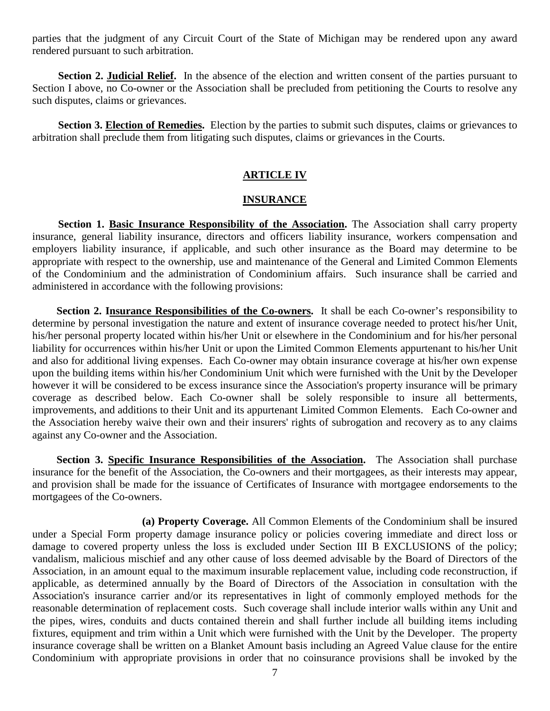parties that the judgment of any Circuit Court of the State of Michigan may be rendered upon any award rendered pursuant to such arbitration.

Section 2. **Judicial Relief.** In the absence of the election and written consent of the parties pursuant to Section I above, no Co-owner or the Association shall be precluded from petitioning the Courts to resolve any such disputes, claims or grievances.

**Section 3. Election of Remedies.** Election by the parties to submit such disputes, claims or grievances to arbitration shall preclude them from litigating such disputes, claims or grievances in the Courts.

# **ARTICLE IV**

### **INSURANCE**

**Section 1. Basic Insurance Responsibility of the Association.** The Association shall carry property insurance, general liability insurance, directors and officers liability insurance, workers compensation and employers liability insurance, if applicable, and such other insurance as the Board may determine to be appropriate with respect to the ownership, use and maintenance of the General and Limited Common Elements of the Condominium and the administration of Condominium affairs. Such insurance shall be carried and administered in accordance with the following provisions:

 **Section 2. Insurance Responsibilities of the Co-owners.** It shall be each Co-owner's responsibility to determine by personal investigation the nature and extent of insurance coverage needed to protect his/her Unit, his/her personal property located within his/her Unit or elsewhere in the Condominium and for his/her personal liability for occurrences within his/her Unit or upon the Limited Common Elements appurtenant to his/her Unit and also for additional living expenses. Each Co-owner may obtain insurance coverage at his/her own expense upon the building items within his/her Condominium Unit which were furnished with the Unit by the Developer however it will be considered to be excess insurance since the Association's property insurance will be primary coverage as described below. Each Co-owner shall be solely responsible to insure all betterments, improvements, and additions to their Unit and its appurtenant Limited Common Elements. Each Co-owner and the Association hereby waive their own and their insurers' rights of subrogation and recovery as to any claims against any Co-owner and the Association.

 **Section 3. Specific Insurance Responsibilities of the Association.** The Association shall purchase insurance for the benefit of the Association, the Co-owners and their mortgagees, as their interests may appear, and provision shall be made for the issuance of Certificates of Insurance with mortgagee endorsements to the mortgagees of the Co-owners.

**(a) Property Coverage.** All Common Elements of the Condominium shall be insured under a Special Form property damage insurance policy or policies covering immediate and direct loss or damage to covered property unless the loss is excluded under Section III B EXCLUSIONS of the policy; vandalism, malicious mischief and any other cause of loss deemed advisable by the Board of Directors of the Association, in an amount equal to the maximum insurable replacement value, including code reconstruction, if applicable, as determined annually by the Board of Directors of the Association in consultation with the Association's insurance carrier and/or its representatives in light of commonly employed methods for the reasonable determination of replacement costs. Such coverage shall include interior walls within any Unit and the pipes, wires, conduits and ducts contained therein and shall further include all building items including fixtures, equipment and trim within a Unit which were furnished with the Unit by the Developer. The property insurance coverage shall be written on a Blanket Amount basis including an Agreed Value clause for the entire Condominium with appropriate provisions in order that no coinsurance provisions shall be invoked by the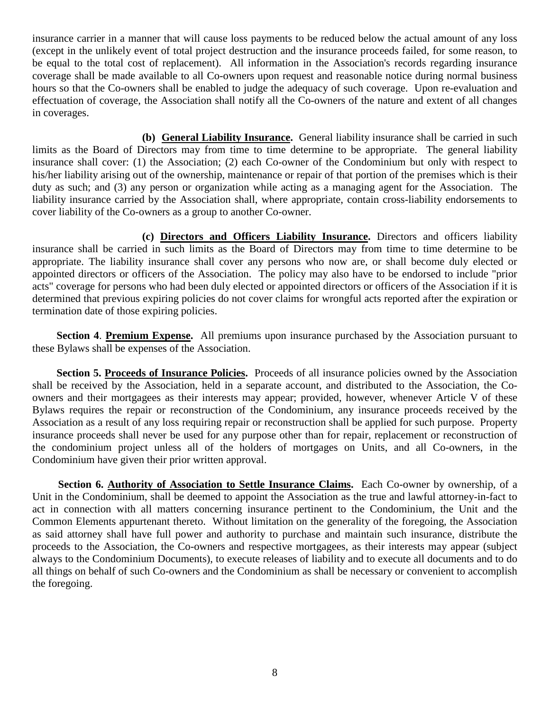insurance carrier in a manner that will cause loss payments to be reduced below the actual amount of any loss (except in the unlikely event of total project destruction and the insurance proceeds failed, for some reason, to be equal to the total cost of replacement). All information in the Association's records regarding insurance coverage shall be made available to all Co-owners upon request and reasonable notice during normal business hours so that the Co-owners shall be enabled to judge the adequacy of such coverage. Upon re-evaluation and effectuation of coverage, the Association shall notify all the Co-owners of the nature and extent of all changes in coverages.

**(b) General Liability Insurance.** General liability insurance shall be carried in such limits as the Board of Directors may from time to time determine to be appropriate. The general liability insurance shall cover: (1) the Association; (2) each Co-owner of the Condominium but only with respect to his/her liability arising out of the ownership, maintenance or repair of that portion of the premises which is their duty as such; and (3) any person or organization while acting as a managing agent for the Association. The liability insurance carried by the Association shall, where appropriate, contain cross-liability endorsements to cover liability of the Co-owners as a group to another Co-owner.

**(c) Directors and Officers Liability Insurance.** Directors and officers liability insurance shall be carried in such limits as the Board of Directors may from time to time determine to be appropriate. The liability insurance shall cover any persons who now are, or shall become duly elected or appointed directors or officers of the Association. The policy may also have to be endorsed to include "prior acts" coverage for persons who had been duly elected or appointed directors or officers of the Association if it is determined that previous expiring policies do not cover claims for wrongful acts reported after the expiration or termination date of those expiring policies.

 **Section 4**. **Premium Expense.** All premiums upon insurance purchased by the Association pursuant to these Bylaws shall be expenses of the Association.

 **Section 5. Proceeds of Insurance Policies.** Proceeds of all insurance policies owned by the Association shall be received by the Association, held in a separate account, and distributed to the Association, the Coowners and their mortgagees as their interests may appear; provided, however, whenever Article V of these Bylaws requires the repair or reconstruction of the Condominium, any insurance proceeds received by the Association as a result of any loss requiring repair or reconstruction shall be applied for such purpose. Property insurance proceeds shall never be used for any purpose other than for repair, replacement or reconstruction of the condominium project unless all of the holders of mortgages on Units, and all Co-owners, in the Condominium have given their prior written approval.

**Section 6. Authority of Association to Settle Insurance Claims.** Each Co-owner by ownership, of a Unit in the Condominium, shall be deemed to appoint the Association as the true and lawful attorney-in-fact to act in connection with all matters concerning insurance pertinent to the Condominium, the Unit and the Common Elements appurtenant thereto. Without limitation on the generality of the foregoing, the Association as said attorney shall have full power and authority to purchase and maintain such insurance, distribute the proceeds to the Association, the Co-owners and respective mortgagees, as their interests may appear (subject always to the Condominium Documents), to execute releases of liability and to execute all documents and to do all things on behalf of such Co-owners and the Condominium as shall be necessary or convenient to accomplish the foregoing.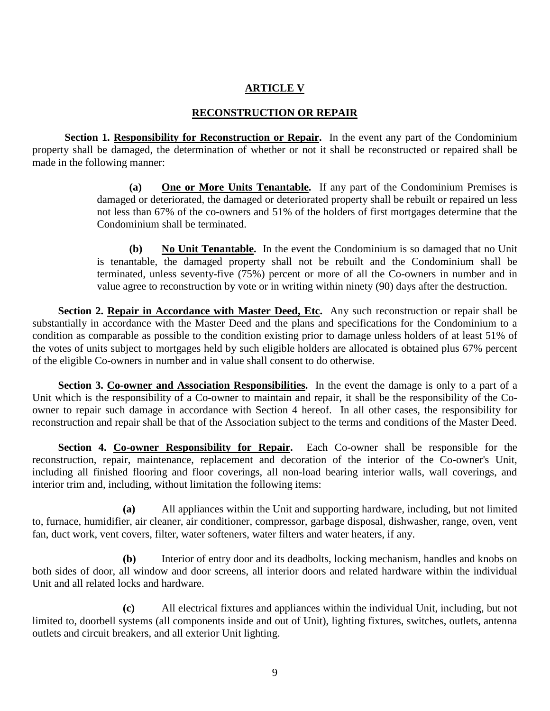# **ARTICLE V**

# **RECONSTRUCTION OR REPAIR**

**Section 1. Responsibility for Reconstruction or Repair.** In the event any part of the Condominium property shall be damaged, the determination of whether or not it shall be reconstructed or repaired shall be made in the following manner:

> **(a) One or More Units Tenantable.** If any part of the Condominium Premises is damaged or deteriorated, the damaged or deteriorated property shall be rebuilt or repaired un less not less than 67% of the co-owners and 51% of the holders of first mortgages determine that the Condominium shall be terminated.

> **(b) No Unit Tenantable.** In the event the Condominium is so damaged that no Unit is tenantable, the damaged property shall not be rebuilt and the Condominium shall be terminated, unless seventy-five (75%) percent or more of all the Co-owners in number and in value agree to reconstruction by vote or in writing within ninety (90) days after the destruction.

**Section 2. Repair in Accordance with Master Deed, Etc.** Any such reconstruction or repair shall be substantially in accordance with the Master Deed and the plans and specifications for the Condominium to a condition as comparable as possible to the condition existing prior to damage unless holders of at least 51% of the votes of units subject to mortgages held by such eligible holders are allocated is obtained plus 67% percent of the eligible Co-owners in number and in value shall consent to do otherwise.

**Section 3. Co-owner and Association Responsibilities.** In the event the damage is only to a part of a Unit which is the responsibility of a Co-owner to maintain and repair, it shall be the responsibility of the Coowner to repair such damage in accordance with Section 4 hereof. In all other cases, the responsibility for reconstruction and repair shall be that of the Association subject to the terms and conditions of the Master Deed.

**Section 4. Co-owner Responsibility for Repair.** Each Co-owner shall be responsible for the reconstruction, repair, maintenance, replacement and decoration of the interior of the Co-owner's Unit, including all finished flooring and floor coverings, all non-load bearing interior walls, wall coverings, and interior trim and, including, without limitation the following items:

**(a)** All appliances within the Unit and supporting hardware, including, but not limited to, furnace, humidifier, air cleaner, air conditioner, compressor, garbage disposal, dishwasher, range, oven, vent fan, duct work, vent covers, filter, water softeners, water filters and water heaters, if any.

**(b)** Interior of entry door and its deadbolts, locking mechanism, handles and knobs on both sides of door, all window and door screens, all interior doors and related hardware within the individual Unit and all related locks and hardware.

**(c)** All electrical fixtures and appliances within the individual Unit, including, but not limited to, doorbell systems (all components inside and out of Unit), lighting fixtures, switches, outlets, antenna outlets and circuit breakers, and all exterior Unit lighting.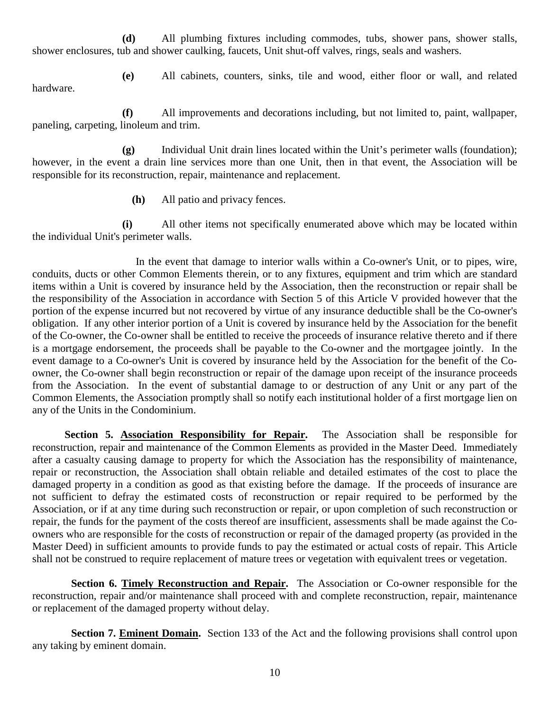**(d)** All plumbing fixtures including commodes, tubs, shower pans, shower stalls, shower enclosures, tub and shower caulking, faucets, Unit shut-off valves, rings, seals and washers.

hardware.

**(e)** All cabinets, counters, sinks, tile and wood, either floor or wall, and related

 **(f)** All improvements and decorations including, but not limited to, paint, wallpaper, paneling, carpeting, linoleum and trim.

 **(g)** Individual Unit drain lines located within the Unit's perimeter walls (foundation); however, in the event a drain line services more than one Unit, then in that event, the Association will be responsible for its reconstruction, repair, maintenance and replacement.

**(h)** All patio and privacy fences.

 **(i)** All other items not specifically enumerated above which may be located within the individual Unit's perimeter walls.

In the event that damage to interior walls within a Co-owner's Unit, or to pipes, wire, conduits, ducts or other Common Elements therein, or to any fixtures, equipment and trim which are standard items within a Unit is covered by insurance held by the Association, then the reconstruction or repair shall be the responsibility of the Association in accordance with Section 5 of this Article V provided however that the portion of the expense incurred but not recovered by virtue of any insurance deductible shall be the Co-owner's obligation. If any other interior portion of a Unit is covered by insurance held by the Association for the benefit of the Co-owner, the Co-owner shall be entitled to receive the proceeds of insurance relative thereto and if there is a mortgage endorsement, the proceeds shall be payable to the Co-owner and the mortgagee jointly. In the event damage to a Co-owner's Unit is covered by insurance held by the Association for the benefit of the Coowner, the Co-owner shall begin reconstruction or repair of the damage upon receipt of the insurance proceeds from the Association. In the event of substantial damage to or destruction of any Unit or any part of the Common Elements, the Association promptly shall so notify each institutional holder of a first mortgage lien on any of the Units in the Condominium.

**Section 5. Association Responsibility for Repair.** The Association shall be responsible for reconstruction, repair and maintenance of the Common Elements as provided in the Master Deed. Immediately after a casualty causing damage to property for which the Association has the responsibility of maintenance, repair or reconstruction, the Association shall obtain reliable and detailed estimates of the cost to place the damaged property in a condition as good as that existing before the damage. If the proceeds of insurance are not sufficient to defray the estimated costs of reconstruction or repair required to be performed by the Association, or if at any time during such reconstruction or repair, or upon completion of such reconstruction or repair, the funds for the payment of the costs thereof are insufficient, assessments shall be made against the Coowners who are responsible for the costs of reconstruction or repair of the damaged property (as provided in the Master Deed) in sufficient amounts to provide funds to pay the estimated or actual costs of repair. This Article shall not be construed to require replacement of mature trees or vegetation with equivalent trees or vegetation.

**Section 6. Timely Reconstruction and Repair.** The Association or Co-owner responsible for the reconstruction, repair and/or maintenance shall proceed with and complete reconstruction, repair, maintenance or replacement of the damaged property without delay.

**Section 7. Eminent Domain.** Section 133 of the Act and the following provisions shall control upon any taking by eminent domain.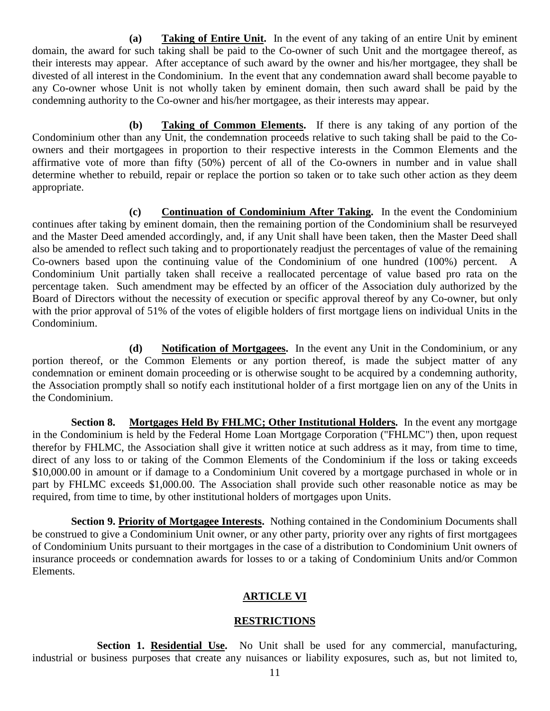**(a) Taking of Entire Unit.** In the event of any taking of an entire Unit by eminent domain, the award for such taking shall be paid to the Co-owner of such Unit and the mortgagee thereof, as their interests may appear. After acceptance of such award by the owner and his/her mortgagee, they shall be divested of all interest in the Condominium. In the event that any condemnation award shall become payable to any Co-owner whose Unit is not wholly taken by eminent domain, then such award shall be paid by the condemning authority to the Co-owner and his/her mortgagee, as their interests may appear.

**(b) Taking of Common Elements.** If there is any taking of any portion of the Condominium other than any Unit, the condemnation proceeds relative to such taking shall be paid to the Coowners and their mortgagees in proportion to their respective interests in the Common Elements and the affirmative vote of more than fifty (50%) percent of all of the Co-owners in number and in value shall determine whether to rebuild, repair or replace the portion so taken or to take such other action as they deem appropriate.

**(c) Continuation of Condominium After Taking.** In the event the Condominium continues after taking by eminent domain, then the remaining portion of the Condominium shall be resurveyed and the Master Deed amended accordingly, and, if any Unit shall have been taken, then the Master Deed shall also be amended to reflect such taking and to proportionately readjust the percentages of value of the remaining Co-owners based upon the continuing value of the Condominium of one hundred (100%) percent. A Condominium Unit partially taken shall receive a reallocated percentage of value based pro rata on the percentage taken. Such amendment may be effected by an officer of the Association duly authorized by the Board of Directors without the necessity of execution or specific approval thereof by any Co-owner, but only with the prior approval of 51% of the votes of eligible holders of first mortgage liens on individual Units in the Condominium.

**(d) Notification of Mortgagees.** In the event any Unit in the Condominium, or any portion thereof, or the Common Elements or any portion thereof, is made the subject matter of any condemnation or eminent domain proceeding or is otherwise sought to be acquired by a condemning authority, the Association promptly shall so notify each institutional holder of a first mortgage lien on any of the Units in the Condominium.

**Section 8. Mortgages Held By FHLMC; Other Institutional Holders.** In the event any mortgage in the Condominium is held by the Federal Home Loan Mortgage Corporation ("FHLMC") then, upon request therefor by FHLMC, the Association shall give it written notice at such address as it may, from time to time, direct of any loss to or taking of the Common Elements of the Condominium if the loss or taking exceeds \$10,000.00 in amount or if damage to a Condominium Unit covered by a mortgage purchased in whole or in part by FHLMC exceeds \$1,000.00. The Association shall provide such other reasonable notice as may be required, from time to time, by other institutional holders of mortgages upon Units.

**Section 9. Priority of Mortgagee Interests.** Nothing contained in the Condominium Documents shall be construed to give a Condominium Unit owner, or any other party, priority over any rights of first mortgagees of Condominium Units pursuant to their mortgages in the case of a distribution to Condominium Unit owners of insurance proceeds or condemnation awards for losses to or a taking of Condominium Units and/or Common Elements.

# **ARTICLE VI**

### **RESTRICTIONS**

Section 1. Residential Use. No Unit shall be used for any commercial, manufacturing, industrial or business purposes that create any nuisances or liability exposures, such as, but not limited to,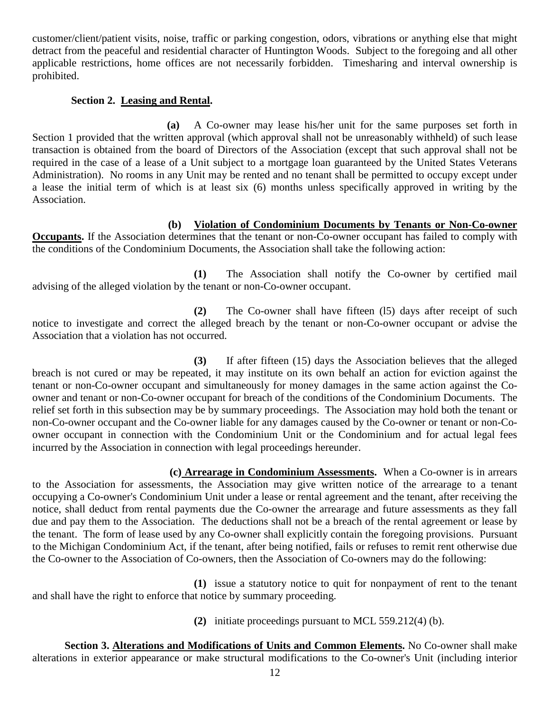customer/client/patient visits, noise, traffic or parking congestion, odors, vibrations or anything else that might detract from the peaceful and residential character of Huntington Woods. Subject to the foregoing and all other applicable restrictions, home offices are not necessarily forbidden. Timesharing and interval ownership is prohibited.

# **Section 2. Leasing and Rental.**

 **(a)** A Co-owner may lease his/her unit for the same purposes set forth in Section 1 provided that the written approval (which approval shall not be unreasonably withheld) of such lease transaction is obtained from the board of Directors of the Association (except that such approval shall not be required in the case of a lease of a Unit subject to a mortgage loan guaranteed by the United States Veterans Administration). No rooms in any Unit may be rented and no tenant shall be permitted to occupy except under a lease the initial term of which is at least six (6) months unless specifically approved in writing by the Association.

**(b) Violation of Condominium Documents by Tenants or Non-Co-owner Occupants.** If the Association determines that the tenant or non-Co-owner occupant has failed to comply with the conditions of the Condominium Documents, the Association shall take the following action:

**(1)** The Association shall notify the Co-owner by certified mail advising of the alleged violation by the tenant or non-Co-owner occupant.

**(2)** The Co-owner shall have fifteen (l5) days after receipt of such notice to investigate and correct the alleged breach by the tenant or non-Co-owner occupant or advise the Association that a violation has not occurred.

**(3)** If after fifteen (15) days the Association believes that the alleged breach is not cured or may be repeated, it may institute on its own behalf an action for eviction against the tenant or non-Co-owner occupant and simultaneously for money damages in the same action against the Coowner and tenant or non-Co-owner occupant for breach of the conditions of the Condominium Documents. The relief set forth in this subsection may be by summary proceedings. The Association may hold both the tenant or non-Co-owner occupant and the Co-owner liable for any damages caused by the Co-owner or tenant or non-Coowner occupant in connection with the Condominium Unit or the Condominium and for actual legal fees incurred by the Association in connection with legal proceedings hereunder.

 **(c) Arrearage in Condominium Assessments.** When a Co-owner is in arrears to the Association for assessments, the Association may give written notice of the arrearage to a tenant occupying a Co-owner's Condominium Unit under a lease or rental agreement and the tenant, after receiving the notice, shall deduct from rental payments due the Co-owner the arrearage and future assessments as they fall due and pay them to the Association. The deductions shall not be a breach of the rental agreement or lease by the tenant. The form of lease used by any Co-owner shall explicitly contain the foregoing provisions. Pursuant to the Michigan Condominium Act, if the tenant, after being notified, fails or refuses to remit rent otherwise due the Co-owner to the Association of Co-owners, then the Association of Co-owners may do the following:

**(1)** issue a statutory notice to quit for nonpayment of rent to the tenant and shall have the right to enforce that notice by summary proceeding.

**(2)** initiate proceedings pursuant to MCL 559.212(4) (b).

**Section 3. Alterations and Modifications of Units and Common Elements.** No Co-owner shall make alterations in exterior appearance or make structural modifications to the Co-owner's Unit (including interior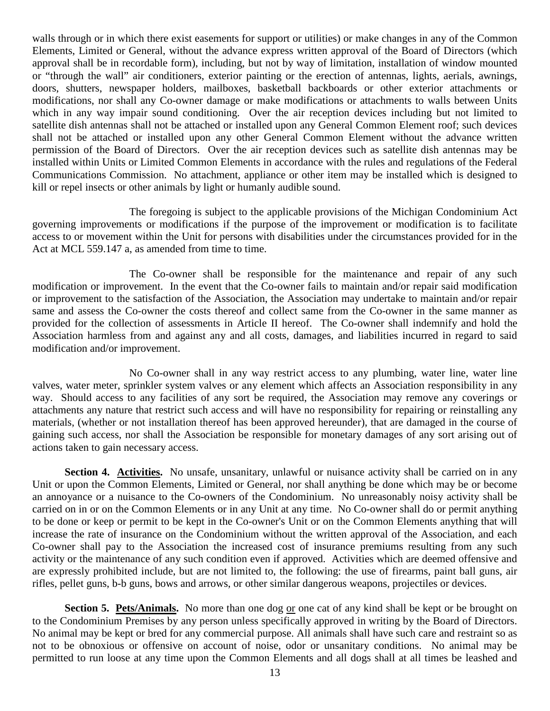walls through or in which there exist easements for support or utilities) or make changes in any of the Common Elements, Limited or General, without the advance express written approval of the Board of Directors (which approval shall be in recordable form), including, but not by way of limitation, installation of window mounted or "through the wall" air conditioners, exterior painting or the erection of antennas, lights, aerials, awnings, doors, shutters, newspaper holders, mailboxes, basketball backboards or other exterior attachments or modifications, nor shall any Co-owner damage or make modifications or attachments to walls between Units which in any way impair sound conditioning. Over the air reception devices including but not limited to satellite dish antennas shall not be attached or installed upon any General Common Element roof; such devices shall not be attached or installed upon any other General Common Element without the advance written permission of the Board of Directors. Over the air reception devices such as satellite dish antennas may be installed within Units or Limited Common Elements in accordance with the rules and regulations of the Federal Communications Commission. No attachment, appliance or other item may be installed which is designed to kill or repel insects or other animals by light or humanly audible sound.

The foregoing is subject to the applicable provisions of the Michigan Condominium Act governing improvements or modifications if the purpose of the improvement or modification is to facilitate access to or movement within the Unit for persons with disabilities under the circumstances provided for in the Act at MCL 559.147 a, as amended from time to time.

The Co-owner shall be responsible for the maintenance and repair of any such modification or improvement. In the event that the Co-owner fails to maintain and/or repair said modification or improvement to the satisfaction of the Association, the Association may undertake to maintain and/or repair same and assess the Co-owner the costs thereof and collect same from the Co-owner in the same manner as provided for the collection of assessments in Article II hereof. The Co-owner shall indemnify and hold the Association harmless from and against any and all costs, damages, and liabilities incurred in regard to said modification and/or improvement.

No Co-owner shall in any way restrict access to any plumbing, water line, water line valves, water meter, sprinkler system valves or any element which affects an Association responsibility in any way. Should access to any facilities of any sort be required, the Association may remove any coverings or attachments any nature that restrict such access and will have no responsibility for repairing or reinstalling any materials, (whether or not installation thereof has been approved hereunder), that are damaged in the course of gaining such access, nor shall the Association be responsible for monetary damages of any sort arising out of actions taken to gain necessary access.

**Section 4. Activities.** No unsafe, unsanitary, unlawful or nuisance activity shall be carried on in any Unit or upon the Common Elements, Limited or General, nor shall anything be done which may be or become an annoyance or a nuisance to the Co-owners of the Condominium. No unreasonably noisy activity shall be carried on in or on the Common Elements or in any Unit at any time. No Co-owner shall do or permit anything to be done or keep or permit to be kept in the Co-owner's Unit or on the Common Elements anything that will increase the rate of insurance on the Condominium without the written approval of the Association, and each Co-owner shall pay to the Association the increased cost of insurance premiums resulting from any such activity or the maintenance of any such condition even if approved. Activities which are deemed offensive and are expressly prohibited include, but are not limited to, the following: the use of firearms, paint ball guns, air rifles, pellet guns, b-b guns, bows and arrows, or other similar dangerous weapons, projectiles or devices.

**Section 5. Pets/Animals.** No more than one dog or one cat of any kind shall be kept or be brought on to the Condominium Premises by any person unless specifically approved in writing by the Board of Directors. No animal may be kept or bred for any commercial purpose. All animals shall have such care and restraint so as not to be obnoxious or offensive on account of noise, odor or unsanitary conditions. No animal may be permitted to run loose at any time upon the Common Elements and all dogs shall at all times be leashed and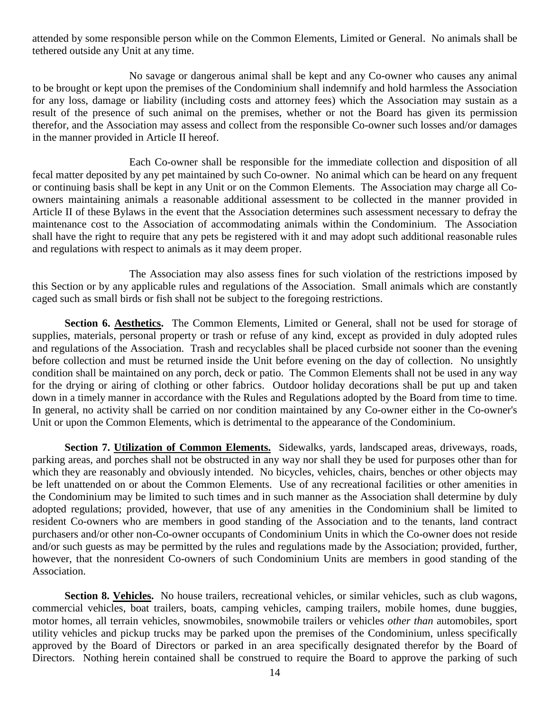attended by some responsible person while on the Common Elements, Limited or General. No animals shall be tethered outside any Unit at any time.

No savage or dangerous animal shall be kept and any Co-owner who causes any animal to be brought or kept upon the premises of the Condominium shall indemnify and hold harmless the Association for any loss, damage or liability (including costs and attorney fees) which the Association may sustain as a result of the presence of such animal on the premises, whether or not the Board has given its permission therefor, and the Association may assess and collect from the responsible Co-owner such losses and/or damages in the manner provided in Article II hereof.

Each Co-owner shall be responsible for the immediate collection and disposition of all fecal matter deposited by any pet maintained by such Co-owner. No animal which can be heard on any frequent or continuing basis shall be kept in any Unit or on the Common Elements. The Association may charge all Coowners maintaining animals a reasonable additional assessment to be collected in the manner provided in Article II of these Bylaws in the event that the Association determines such assessment necessary to defray the maintenance cost to the Association of accommodating animals within the Condominium. The Association shall have the right to require that any pets be registered with it and may adopt such additional reasonable rules and regulations with respect to animals as it may deem proper.

The Association may also assess fines for such violation of the restrictions imposed by this Section or by any applicable rules and regulations of the Association. Small animals which are constantly caged such as small birds or fish shall not be subject to the foregoing restrictions.

**Section 6. Aesthetics.** The Common Elements, Limited or General, shall not be used for storage of supplies, materials, personal property or trash or refuse of any kind, except as provided in duly adopted rules and regulations of the Association. Trash and recyclables shall be placed curbside not sooner than the evening before collection and must be returned inside the Unit before evening on the day of collection. No unsightly condition shall be maintained on any porch, deck or patio. The Common Elements shall not be used in any way for the drying or airing of clothing or other fabrics. Outdoor holiday decorations shall be put up and taken down in a timely manner in accordance with the Rules and Regulations adopted by the Board from time to time. In general, no activity shall be carried on nor condition maintained by any Co-owner either in the Co-owner's Unit or upon the Common Elements, which is detrimental to the appearance of the Condominium.

**Section 7. Utilization of Common Elements.** Sidewalks, yards, landscaped areas, driveways, roads, parking areas, and porches shall not be obstructed in any way nor shall they be used for purposes other than for which they are reasonably and obviously intended. No bicycles, vehicles, chairs, benches or other objects may be left unattended on or about the Common Elements. Use of any recreational facilities or other amenities in the Condominium may be limited to such times and in such manner as the Association shall determine by duly adopted regulations; provided, however, that use of any amenities in the Condominium shall be limited to resident Co-owners who are members in good standing of the Association and to the tenants, land contract purchasers and/or other non-Co-owner occupants of Condominium Units in which the Co-owner does not reside and/or such guests as may be permitted by the rules and regulations made by the Association; provided, further, however, that the nonresident Co-owners of such Condominium Units are members in good standing of the Association.

**Section 8. Vehicles.** No house trailers, recreational vehicles, or similar vehicles, such as club wagons, commercial vehicles, boat trailers, boats, camping vehicles, camping trailers, mobile homes, dune buggies, motor homes, all terrain vehicles, snowmobiles, snowmobile trailers or vehicles *other than* automobiles, sport utility vehicles and pickup trucks may be parked upon the premises of the Condominium, unless specifically approved by the Board of Directors or parked in an area specifically designated therefor by the Board of Directors. Nothing herein contained shall be construed to require the Board to approve the parking of such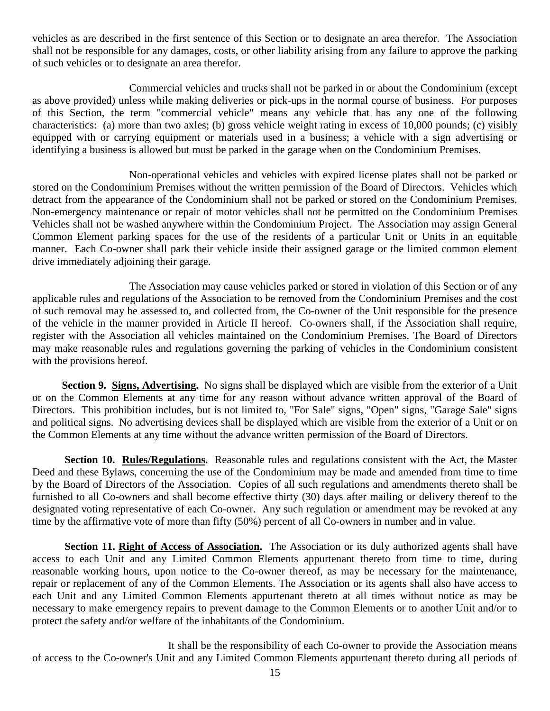vehicles as are described in the first sentence of this Section or to designate an area therefor. The Association shall not be responsible for any damages, costs, or other liability arising from any failure to approve the parking of such vehicles or to designate an area therefor.

Commercial vehicles and trucks shall not be parked in or about the Condominium (except as above provided) unless while making deliveries or pick-ups in the normal course of business. For purposes of this Section, the term "commercial vehicle" means any vehicle that has any one of the following characteristics: (a) more than two axles; (b) gross vehicle weight rating in excess of 10,000 pounds; (c) visibly equipped with or carrying equipment or materials used in a business; a vehicle with a sign advertising or identifying a business is allowed but must be parked in the garage when on the Condominium Premises.

Non-operational vehicles and vehicles with expired license plates shall not be parked or stored on the Condominium Premises without the written permission of the Board of Directors. Vehicles which detract from the appearance of the Condominium shall not be parked or stored on the Condominium Premises. Non-emergency maintenance or repair of motor vehicles shall not be permitted on the Condominium Premises Vehicles shall not be washed anywhere within the Condominium Project. The Association may assign General Common Element parking spaces for the use of the residents of a particular Unit or Units in an equitable manner. Each Co-owner shall park their vehicle inside their assigned garage or the limited common element drive immediately adjoining their garage.

The Association may cause vehicles parked or stored in violation of this Section or of any applicable rules and regulations of the Association to be removed from the Condominium Premises and the cost of such removal may be assessed to, and collected from, the Co-owner of the Unit responsible for the presence of the vehicle in the manner provided in Article II hereof. Co-owners shall, if the Association shall require, register with the Association all vehicles maintained on the Condominium Premises. The Board of Directors may make reasonable rules and regulations governing the parking of vehicles in the Condominium consistent with the provisions hereof.

 **Section 9. Signs, Advertising.** No signs shall be displayed which are visible from the exterior of a Unit or on the Common Elements at any time for any reason without advance written approval of the Board of Directors. This prohibition includes, but is not limited to, "For Sale" signs, "Open" signs, "Garage Sale" signs and political signs. No advertising devices shall be displayed which are visible from the exterior of a Unit or on the Common Elements at any time without the advance written permission of the Board of Directors.

**Section 10. Rules/Regulations.** Reasonable rules and regulations consistent with the Act, the Master Deed and these Bylaws, concerning the use of the Condominium may be made and amended from time to time by the Board of Directors of the Association. Copies of all such regulations and amendments thereto shall be furnished to all Co-owners and shall become effective thirty (30) days after mailing or delivery thereof to the designated voting representative of each Co-owner. Any such regulation or amendment may be revoked at any time by the affirmative vote of more than fifty (50%) percent of all Co-owners in number and in value.

**Section 11. Right of Access of Association.** The Association or its duly authorized agents shall have access to each Unit and any Limited Common Elements appurtenant thereto from time to time, during reasonable working hours, upon notice to the Co-owner thereof, as may be necessary for the maintenance, repair or replacement of any of the Common Elements. The Association or its agents shall also have access to each Unit and any Limited Common Elements appurtenant thereto at all times without notice as may be necessary to make emergency repairs to prevent damage to the Common Elements or to another Unit and/or to protect the safety and/or welfare of the inhabitants of the Condominium.

It shall be the responsibility of each Co-owner to provide the Association means of access to the Co-owner's Unit and any Limited Common Elements appurtenant thereto during all periods of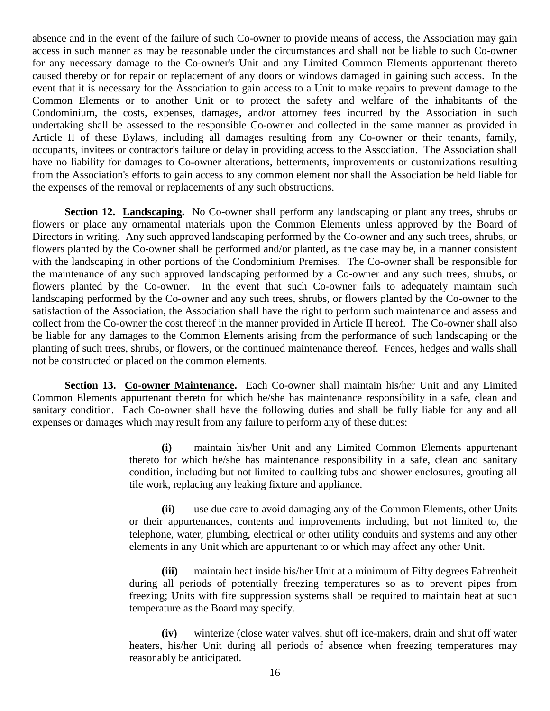absence and in the event of the failure of such Co-owner to provide means of access, the Association may gain access in such manner as may be reasonable under the circumstances and shall not be liable to such Co-owner for any necessary damage to the Co-owner's Unit and any Limited Common Elements appurtenant thereto caused thereby or for repair or replacement of any doors or windows damaged in gaining such access. In the event that it is necessary for the Association to gain access to a Unit to make repairs to prevent damage to the Common Elements or to another Unit or to protect the safety and welfare of the inhabitants of the Condominium, the costs, expenses, damages, and/or attorney fees incurred by the Association in such undertaking shall be assessed to the responsible Co-owner and collected in the same manner as provided in Article II of these Bylaws, including all damages resulting from any Co-owner or their tenants, family, occupants, invitees or contractor's failure or delay in providing access to the Association. The Association shall have no liability for damages to Co-owner alterations, betterments, improvements or customizations resulting from the Association's efforts to gain access to any common element nor shall the Association be held liable for the expenses of the removal or replacements of any such obstructions.

**Section 12. Landscaping.** No Co-owner shall perform any landscaping or plant any trees, shrubs or flowers or place any ornamental materials upon the Common Elements unless approved by the Board of Directors in writing. Any such approved landscaping performed by the Co-owner and any such trees, shrubs, or flowers planted by the Co-owner shall be performed and/or planted, as the case may be, in a manner consistent with the landscaping in other portions of the Condominium Premises. The Co-owner shall be responsible for the maintenance of any such approved landscaping performed by a Co-owner and any such trees, shrubs, or flowers planted by the Co-owner. In the event that such Co-owner fails to adequately maintain such landscaping performed by the Co-owner and any such trees, shrubs, or flowers planted by the Co-owner to the satisfaction of the Association, the Association shall have the right to perform such maintenance and assess and collect from the Co-owner the cost thereof in the manner provided in Article II hereof. The Co-owner shall also be liable for any damages to the Common Elements arising from the performance of such landscaping or the planting of such trees, shrubs, or flowers, or the continued maintenance thereof. Fences, hedges and walls shall not be constructed or placed on the common elements.

**Section 13. Co-owner Maintenance.** Each Co-owner shall maintain his/her Unit and any Limited Common Elements appurtenant thereto for which he/she has maintenance responsibility in a safe, clean and sanitary condition. Each Co-owner shall have the following duties and shall be fully liable for any and all expenses or damages which may result from any failure to perform any of these duties:

> **(i)** maintain his/her Unit and any Limited Common Elements appurtenant thereto for which he/she has maintenance responsibility in a safe, clean and sanitary condition, including but not limited to caulking tubs and shower enclosures, grouting all tile work, replacing any leaking fixture and appliance.

> **(ii)** use due care to avoid damaging any of the Common Elements, other Units or their appurtenances, contents and improvements including, but not limited to, the telephone, water, plumbing, electrical or other utility conduits and systems and any other elements in any Unit which are appurtenant to or which may affect any other Unit.

> **(iii)** maintain heat inside his/her Unit at a minimum of Fifty degrees Fahrenheit during all periods of potentially freezing temperatures so as to prevent pipes from freezing; Units with fire suppression systems shall be required to maintain heat at such temperature as the Board may specify.

> **(iv)** winterize (close water valves, shut off ice-makers, drain and shut off water heaters, his/her Unit during all periods of absence when freezing temperatures may reasonably be anticipated.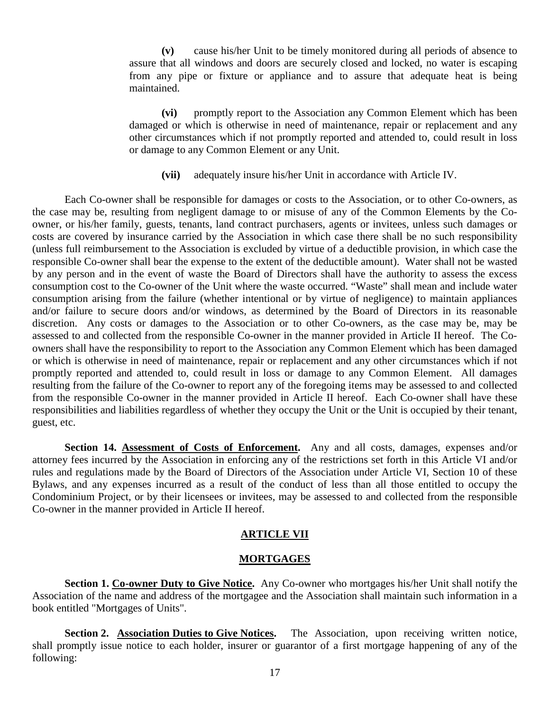**(v)** cause his/her Unit to be timely monitored during all periods of absence to assure that all windows and doors are securely closed and locked, no water is escaping from any pipe or fixture or appliance and to assure that adequate heat is being maintained.

**(vi)** promptly report to the Association any Common Element which has been damaged or which is otherwise in need of maintenance, repair or replacement and any other circumstances which if not promptly reported and attended to, could result in loss or damage to any Common Element or any Unit.

**(vii)** adequately insure his/her Unit in accordance with Article IV.

Each Co-owner shall be responsible for damages or costs to the Association, or to other Co-owners, as the case may be, resulting from negligent damage to or misuse of any of the Common Elements by the Coowner, or his/her family, guests, tenants, land contract purchasers, agents or invitees, unless such damages or costs are covered by insurance carried by the Association in which case there shall be no such responsibility (unless full reimbursement to the Association is excluded by virtue of a deductible provision, in which case the responsible Co-owner shall bear the expense to the extent of the deductible amount). Water shall not be wasted by any person and in the event of waste the Board of Directors shall have the authority to assess the excess consumption cost to the Co-owner of the Unit where the waste occurred. "Waste" shall mean and include water consumption arising from the failure (whether intentional or by virtue of negligence) to maintain appliances and/or failure to secure doors and/or windows, as determined by the Board of Directors in its reasonable discretion. Any costs or damages to the Association or to other Co-owners, as the case may be, may be assessed to and collected from the responsible Co-owner in the manner provided in Article II hereof. The Coowners shall have the responsibility to report to the Association any Common Element which has been damaged or which is otherwise in need of maintenance, repair or replacement and any other circumstances which if not promptly reported and attended to, could result in loss or damage to any Common Element. All damages resulting from the failure of the Co-owner to report any of the foregoing items may be assessed to and collected from the responsible Co-owner in the manner provided in Article II hereof. Each Co-owner shall have these responsibilities and liabilities regardless of whether they occupy the Unit or the Unit is occupied by their tenant, guest, etc.

**Section 14. Assessment of Costs of Enforcement.** Any and all costs, damages, expenses and/or attorney fees incurred by the Association in enforcing any of the restrictions set forth in this Article VI and/or rules and regulations made by the Board of Directors of the Association under Article VI, Section 10 of these Bylaws, and any expenses incurred as a result of the conduct of less than all those entitled to occupy the Condominium Project, or by their licensees or invitees, may be assessed to and collected from the responsible Co-owner in the manner provided in Article II hereof.

### **ARTICLE VII**

#### **MORTGAGES**

**Section 1. Co-owner Duty to Give Notice.** Any Co-owner who mortgages his/her Unit shall notify the Association of the name and address of the mortgagee and the Association shall maintain such information in a book entitled "Mortgages of Units".

**Section 2. Association Duties to Give Notices.** The Association, upon receiving written notice, shall promptly issue notice to each holder, insurer or guarantor of a first mortgage happening of any of the following: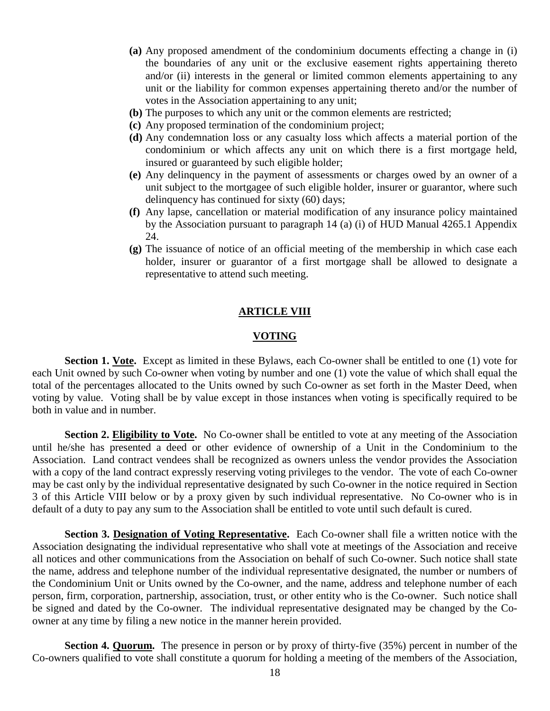- **(a)** Any proposed amendment of the condominium documents effecting a change in (i) the boundaries of any unit or the exclusive easement rights appertaining thereto and/or (ii) interests in the general or limited common elements appertaining to any unit or the liability for common expenses appertaining thereto and/or the number of votes in the Association appertaining to any unit;
- **(b)** The purposes to which any unit or the common elements are restricted;
- **(c)** Any proposed termination of the condominium project;
- **(d)** Any condemnation loss or any casualty loss which affects a material portion of the condominium or which affects any unit on which there is a first mortgage held, insured or guaranteed by such eligible holder;
- **(e)** Any delinquency in the payment of assessments or charges owed by an owner of a unit subject to the mortgagee of such eligible holder, insurer or guarantor, where such delinquency has continued for sixty (60) days;
- **(f)** Any lapse, cancellation or material modification of any insurance policy maintained by the Association pursuant to paragraph 14 (a) (i) of HUD Manual 4265.1 Appendix 24.
- **(g)** The issuance of notice of an official meeting of the membership in which case each holder, insurer or guarantor of a first mortgage shall be allowed to designate a representative to attend such meeting.

### **ARTICLE VIII**

#### **VOTING**

**Section 1. Vote.** Except as limited in these Bylaws, each Co-owner shall be entitled to one (1) vote for each Unit owned by such Co-owner when voting by number and one (1) vote the value of which shall equal the total of the percentages allocated to the Units owned by such Co-owner as set forth in the Master Deed, when voting by value. Voting shall be by value except in those instances when voting is specifically required to be both in value and in number.

**Section 2. Eligibility to Vote.** No Co-owner shall be entitled to vote at any meeting of the Association until he/she has presented a deed or other evidence of ownership of a Unit in the Condominium to the Association. Land contract vendees shall be recognized as owners unless the vendor provides the Association with a copy of the land contract expressly reserving voting privileges to the vendor. The vote of each Co-owner may be cast only by the individual representative designated by such Co-owner in the notice required in Section 3 of this Article VIII below or by a proxy given by such individual representative. No Co-owner who is in default of a duty to pay any sum to the Association shall be entitled to vote until such default is cured.

**Section 3. Designation of Voting Representative.** Each Co-owner shall file a written notice with the Association designating the individual representative who shall vote at meetings of the Association and receive all notices and other communications from the Association on behalf of such Co-owner. Such notice shall state the name, address and telephone number of the individual representative designated, the number or numbers of the Condominium Unit or Units owned by the Co-owner, and the name, address and telephone number of each person, firm, corporation, partnership, association, trust, or other entity who is the Co-owner. Such notice shall be signed and dated by the Co-owner. The individual representative designated may be changed by the Coowner at any time by filing a new notice in the manner herein provided.

**Section 4. Quorum.** The presence in person or by proxy of thirty-five (35%) percent in number of the Co-owners qualified to vote shall constitute a quorum for holding a meeting of the members of the Association,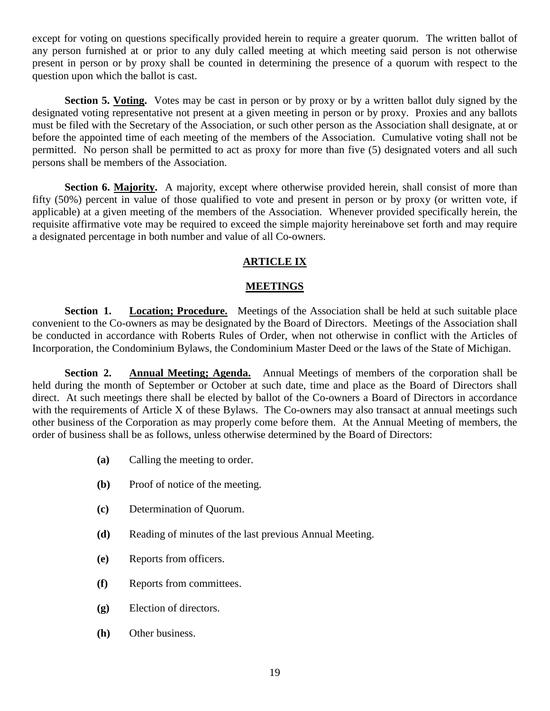except for voting on questions specifically provided herein to require a greater quorum. The written ballot of any person furnished at or prior to any duly called meeting at which meeting said person is not otherwise present in person or by proxy shall be counted in determining the presence of a quorum with respect to the question upon which the ballot is cast.

**Section 5. Voting.** Votes may be cast in person or by proxy or by a written ballot duly signed by the designated voting representative not present at a given meeting in person or by proxy. Proxies and any ballots must be filed with the Secretary of the Association, or such other person as the Association shall designate, at or before the appointed time of each meeting of the members of the Association. Cumulative voting shall not be permitted. No person shall be permitted to act as proxy for more than five (5) designated voters and all such persons shall be members of the Association.

**Section 6. Majority.** A majority, except where otherwise provided herein, shall consist of more than fifty (50%) percent in value of those qualified to vote and present in person or by proxy (or written vote, if applicable) at a given meeting of the members of the Association. Whenever provided specifically herein, the requisite affirmative vote may be required to exceed the simple majority hereinabove set forth and may require a designated percentage in both number and value of all Co-owners.

# **ARTICLE IX**

# **MEETINGS**

**Section 1. Location; Procedure.** Meetings of the Association shall be held at such suitable place convenient to the Co-owners as may be designated by the Board of Directors. Meetings of the Association shall be conducted in accordance with Roberts Rules of Order, when not otherwise in conflict with the Articles of Incorporation, the Condominium Bylaws, the Condominium Master Deed or the laws of the State of Michigan.

**Section 2. Annual Meeting; Agenda.** Annual Meetings of members of the corporation shall be held during the month of September or October at such date, time and place as the Board of Directors shall direct. At such meetings there shall be elected by ballot of the Co-owners a Board of Directors in accordance with the requirements of Article X of these Bylaws. The Co-owners may also transact at annual meetings such other business of the Corporation as may properly come before them. At the Annual Meeting of members, the order of business shall be as follows, unless otherwise determined by the Board of Directors:

- **(a)** Calling the meeting to order.
- **(b)** Proof of notice of the meeting.
- **(c)** Determination of Quorum.
- **(d)** Reading of minutes of the last previous Annual Meeting.
- **(e)** Reports from officers.
- **(f)** Reports from committees.
- **(g)** Election of directors.
- **(h)** Other business.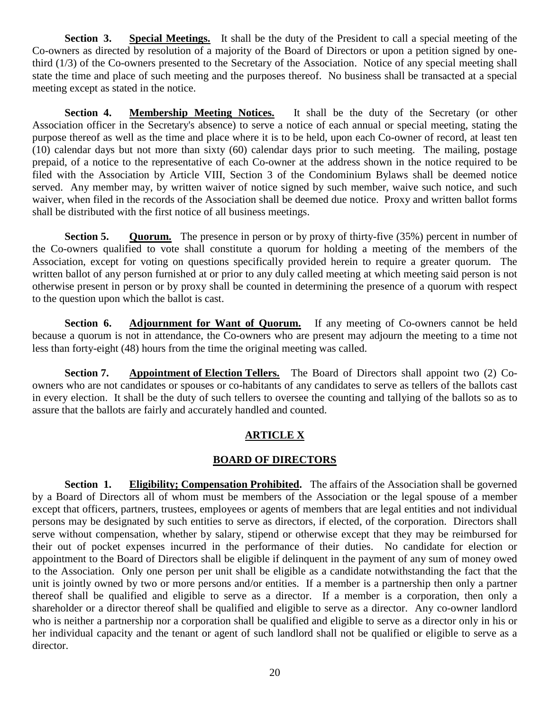**Section 3. Special Meetings.** It shall be the duty of the President to call a special meeting of the Co-owners as directed by resolution of a majority of the Board of Directors or upon a petition signed by onethird (1/3) of the Co-owners presented to the Secretary of the Association. Notice of any special meeting shall state the time and place of such meeting and the purposes thereof. No business shall be transacted at a special meeting except as stated in the notice.

**Section 4. Membership Meeting Notices.** It shall be the duty of the Secretary (or other Association officer in the Secretary's absence) to serve a notice of each annual or special meeting, stating the purpose thereof as well as the time and place where it is to be held, upon each Co-owner of record, at least ten (10) calendar days but not more than sixty (60) calendar days prior to such meeting. The mailing, postage prepaid, of a notice to the representative of each Co-owner at the address shown in the notice required to be filed with the Association by Article VIII, Section 3 of the Condominium Bylaws shall be deemed notice served. Any member may, by written waiver of notice signed by such member, waive such notice, and such waiver, when filed in the records of the Association shall be deemed due notice. Proxy and written ballot forms shall be distributed with the first notice of all business meetings.

**Section 5. Quorum.** The presence in person or by proxy of thirty-five (35%) percent in number of the Co-owners qualified to vote shall constitute a quorum for holding a meeting of the members of the Association, except for voting on questions specifically provided herein to require a greater quorum. The written ballot of any person furnished at or prior to any duly called meeting at which meeting said person is not otherwise present in person or by proxy shall be counted in determining the presence of a quorum with respect to the question upon which the ballot is cast.

**Section 6. Adjournment for Want of Quorum.** If any meeting of Co-owners cannot be held because a quorum is not in attendance, the Co-owners who are present may adjourn the meeting to a time not less than forty-eight (48) hours from the time the original meeting was called.

**Section 7. Appointment of Election Tellers.** The Board of Directors shall appoint two (2) Coowners who are not candidates or spouses or co-habitants of any candidates to serve as tellers of the ballots cast in every election. It shall be the duty of such tellers to oversee the counting and tallying of the ballots so as to assure that the ballots are fairly and accurately handled and counted.

# **ARTICLE X**

# **BOARD OF DIRECTORS**

**Section 1. Eligibility; Compensation Prohibited.** The affairs of the Association shall be governed by a Board of Directors all of whom must be members of the Association or the legal spouse of a member except that officers, partners, trustees, employees or agents of members that are legal entities and not individual persons may be designated by such entities to serve as directors, if elected, of the corporation. Directors shall serve without compensation, whether by salary, stipend or otherwise except that they may be reimbursed for their out of pocket expenses incurred in the performance of their duties. No candidate for election or appointment to the Board of Directors shall be eligible if delinquent in the payment of any sum of money owed to the Association. Only one person per unit shall be eligible as a candidate notwithstanding the fact that the unit is jointly owned by two or more persons and/or entities. If a member is a partnership then only a partner thereof shall be qualified and eligible to serve as a director. If a member is a corporation, then only a shareholder or a director thereof shall be qualified and eligible to serve as a director. Any co-owner landlord who is neither a partnership nor a corporation shall be qualified and eligible to serve as a director only in his or her individual capacity and the tenant or agent of such landlord shall not be qualified or eligible to serve as a director.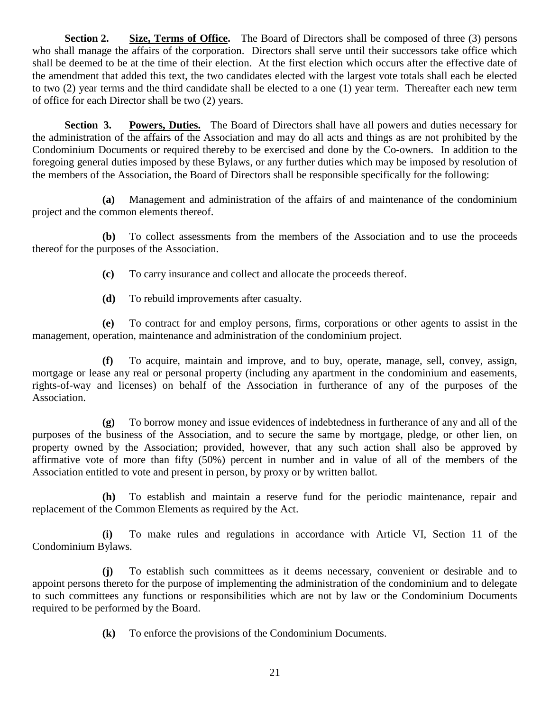**Section 2. Size, Terms of Office.** The Board of Directors shall be composed of three (3) persons who shall manage the affairs of the corporation. Directors shall serve until their successors take office which shall be deemed to be at the time of their election. At the first election which occurs after the effective date of the amendment that added this text, the two candidates elected with the largest vote totals shall each be elected to two (2) year terms and the third candidate shall be elected to a one (1) year term. Thereafter each new term of office for each Director shall be two (2) years.

**Section 3. Powers, Duties.** The Board of Directors shall have all powers and duties necessary for the administration of the affairs of the Association and may do all acts and things as are not prohibited by the Condominium Documents or required thereby to be exercised and done by the Co-owners. In addition to the foregoing general duties imposed by these Bylaws, or any further duties which may be imposed by resolution of the members of the Association, the Board of Directors shall be responsible specifically for the following:

 **(a)** Management and administration of the affairs of and maintenance of the condominium project and the common elements thereof.

 **(b)** To collect assessments from the members of the Association and to use the proceeds thereof for the purposes of the Association.

**(c)** To carry insurance and collect and allocate the proceeds thereof.

**(d)** To rebuild improvements after casualty.

 **(e)** To contract for and employ persons, firms, corporations or other agents to assist in the management, operation, maintenance and administration of the condominium project.

**(f)** To acquire, maintain and improve, and to buy, operate, manage, sell, convey, assign, mortgage or lease any real or personal property (including any apartment in the condominium and easements, rights-of-way and licenses) on behalf of the Association in furtherance of any of the purposes of the Association.

 **(g)** To borrow money and issue evidences of indebtedness in furtherance of any and all of the purposes of the business of the Association, and to secure the same by mortgage, pledge, or other lien, on property owned by the Association; provided, however, that any such action shall also be approved by affirmative vote of more than fifty (50%) percent in number and in value of all of the members of the Association entitled to vote and present in person, by proxy or by written ballot.

 **(h)** To establish and maintain a reserve fund for the periodic maintenance, repair and replacement of the Common Elements as required by the Act.

 **(i)** To make rules and regulations in accordance with Article VI, Section 11 of the Condominium Bylaws.

 **(j)** To establish such committees as it deems necessary, convenient or desirable and to appoint persons thereto for the purpose of implementing the administration of the condominium and to delegate to such committees any functions or responsibilities which are not by law or the Condominium Documents required to be performed by the Board.

**(k)** To enforce the provisions of the Condominium Documents.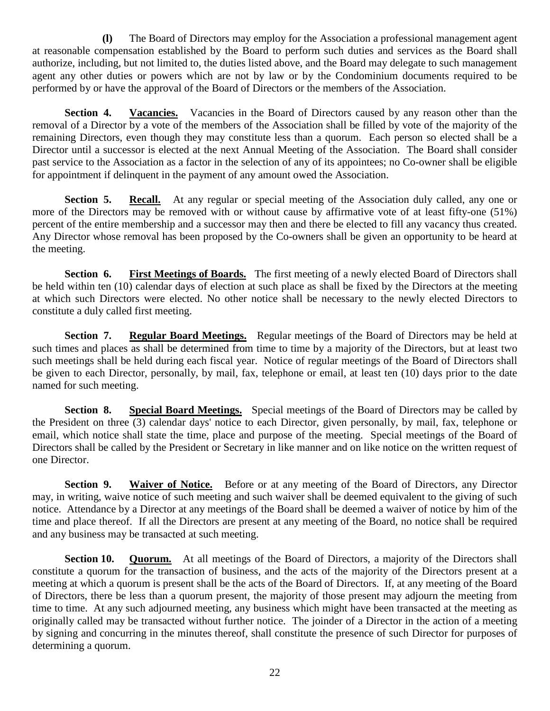**(l)** The Board of Directors may employ for the Association a professional management agent at reasonable compensation established by the Board to perform such duties and services as the Board shall authorize, including, but not limited to, the duties listed above, and the Board may delegate to such management agent any other duties or powers which are not by law or by the Condominium documents required to be performed by or have the approval of the Board of Directors or the members of the Association.

**Section 4. Vacancies.** Vacancies in the Board of Directors caused by any reason other than the removal of a Director by a vote of the members of the Association shall be filled by vote of the majority of the remaining Directors, even though they may constitute less than a quorum. Each person so elected shall be a Director until a successor is elected at the next Annual Meeting of the Association. The Board shall consider past service to the Association as a factor in the selection of any of its appointees; no Co-owner shall be eligible for appointment if delinquent in the payment of any amount owed the Association.

**Section 5. Recall.** At any regular or special meeting of the Association duly called, any one or more of the Directors may be removed with or without cause by affirmative vote of at least fifty-one (51%) percent of the entire membership and a successor may then and there be elected to fill any vacancy thus created. Any Director whose removal has been proposed by the Co-owners shall be given an opportunity to be heard at the meeting.

**Section 6. First Meetings of Boards.** The first meeting of a newly elected Board of Directors shall be held within ten (10) calendar days of election at such place as shall be fixed by the Directors at the meeting at which such Directors were elected. No other notice shall be necessary to the newly elected Directors to constitute a duly called first meeting.

**Section 7. Regular Board Meetings.** Regular meetings of the Board of Directors may be held at such times and places as shall be determined from time to time by a majority of the Directors, but at least two such meetings shall be held during each fiscal year. Notice of regular meetings of the Board of Directors shall be given to each Director, personally, by mail, fax, telephone or email, at least ten (10) days prior to the date named for such meeting.

**Section 8. Special Board Meetings.** Special meetings of the Board of Directors may be called by the President on three (3) calendar days' notice to each Director, given personally, by mail, fax, telephone or email, which notice shall state the time, place and purpose of the meeting. Special meetings of the Board of Directors shall be called by the President or Secretary in like manner and on like notice on the written request of one Director.

**Section 9. Waiver of Notice.** Before or at any meeting of the Board of Directors, any Director may, in writing, waive notice of such meeting and such waiver shall be deemed equivalent to the giving of such notice. Attendance by a Director at any meetings of the Board shall be deemed a waiver of notice by him of the time and place thereof. If all the Directors are present at any meeting of the Board, no notice shall be required and any business may be transacted at such meeting.

**Section 10. Quorum.** At all meetings of the Board of Directors, a majority of the Directors shall constitute a quorum for the transaction of business, and the acts of the majority of the Directors present at a meeting at which a quorum is present shall be the acts of the Board of Directors. If, at any meeting of the Board of Directors, there be less than a quorum present, the majority of those present may adjourn the meeting from time to time. At any such adjourned meeting, any business which might have been transacted at the meeting as originally called may be transacted without further notice. The joinder of a Director in the action of a meeting by signing and concurring in the minutes thereof, shall constitute the presence of such Director for purposes of determining a quorum.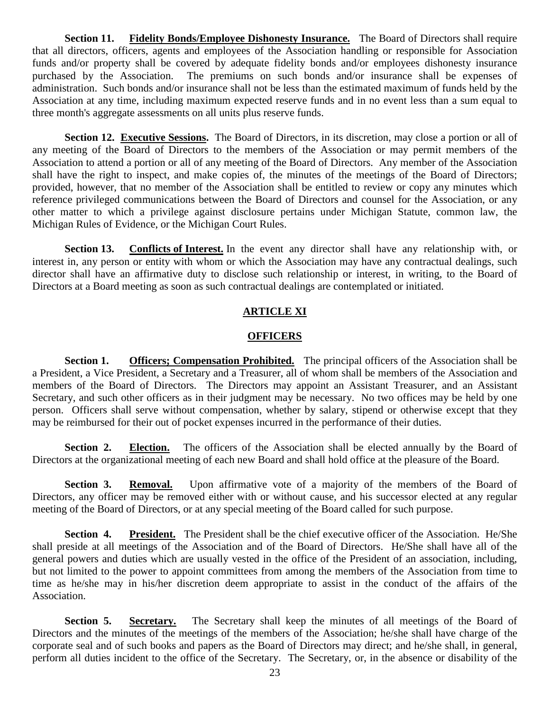**Section 11. Fidelity Bonds/Employee Dishonesty Insurance.** The Board of Directors shall require that all directors, officers, agents and employees of the Association handling or responsible for Association funds and/or property shall be covered by adequate fidelity bonds and/or employees dishonesty insurance purchased by the Association. The premiums on such bonds and/or insurance shall be expenses of administration. Such bonds and/or insurance shall not be less than the estimated maximum of funds held by the Association at any time, including maximum expected reserve funds and in no event less than a sum equal to three month's aggregate assessments on all units plus reserve funds.

**Section 12. Executive Sessions.** The Board of Directors, in its discretion, may close a portion or all of any meeting of the Board of Directors to the members of the Association or may permit members of the Association to attend a portion or all of any meeting of the Board of Directors. Any member of the Association shall have the right to inspect, and make copies of, the minutes of the meetings of the Board of Directors; provided, however, that no member of the Association shall be entitled to review or copy any minutes which reference privileged communications between the Board of Directors and counsel for the Association, or any other matter to which a privilege against disclosure pertains under Michigan Statute, common law, the Michigan Rules of Evidence, or the Michigan Court Rules.

**Section 13. Conflicts of Interest.** In the event any director shall have any relationship with, or interest in, any person or entity with whom or which the Association may have any contractual dealings, such director shall have an affirmative duty to disclose such relationship or interest, in writing, to the Board of Directors at a Board meeting as soon as such contractual dealings are contemplated or initiated.

# **ARTICLE XI**

# **OFFICERS**

**Section 1. Officers; Compensation Prohibited.** The principal officers of the Association shall be a President, a Vice President, a Secretary and a Treasurer, all of whom shall be members of the Association and members of the Board of Directors. The Directors may appoint an Assistant Treasurer, and an Assistant Secretary, and such other officers as in their judgment may be necessary. No two offices may be held by one person. Officers shall serve without compensation, whether by salary, stipend or otherwise except that they may be reimbursed for their out of pocket expenses incurred in the performance of their duties.

**Section 2. Election.** The officers of the Association shall be elected annually by the Board of Directors at the organizational meeting of each new Board and shall hold office at the pleasure of the Board.

**Section 3. Removal.** Upon affirmative vote of a majority of the members of the Board of Directors, any officer may be removed either with or without cause, and his successor elected at any regular meeting of the Board of Directors, or at any special meeting of the Board called for such purpose.

**Section 4. President.** The President shall be the chief executive officer of the Association. He/She shall preside at all meetings of the Association and of the Board of Directors. He/She shall have all of the general powers and duties which are usually vested in the office of the President of an association, including, but not limited to the power to appoint committees from among the members of the Association from time to time as he/she may in his/her discretion deem appropriate to assist in the conduct of the affairs of the Association.

**Section 5. Secretary.** The Secretary shall keep the minutes of all meetings of the Board of Directors and the minutes of the meetings of the members of the Association; he/she shall have charge of the corporate seal and of such books and papers as the Board of Directors may direct; and he/she shall, in general, perform all duties incident to the office of the Secretary. The Secretary, or, in the absence or disability of the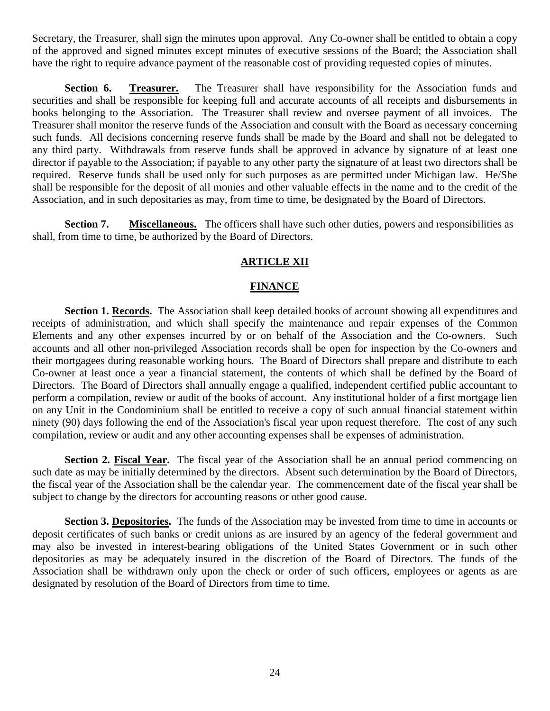Secretary, the Treasurer, shall sign the minutes upon approval. Any Co-owner shall be entitled to obtain a copy of the approved and signed minutes except minutes of executive sessions of the Board; the Association shall have the right to require advance payment of the reasonable cost of providing requested copies of minutes.

**Section 6. Treasurer.** The Treasurer shall have responsibility for the Association funds and securities and shall be responsible for keeping full and accurate accounts of all receipts and disbursements in books belonging to the Association. The Treasurer shall review and oversee payment of all invoices. The Treasurer shall monitor the reserve funds of the Association and consult with the Board as necessary concerning such funds. All decisions concerning reserve funds shall be made by the Board and shall not be delegated to any third party. Withdrawals from reserve funds shall be approved in advance by signature of at least one director if payable to the Association; if payable to any other party the signature of at least two directors shall be required. Reserve funds shall be used only for such purposes as are permitted under Michigan law. He/She shall be responsible for the deposit of all monies and other valuable effects in the name and to the credit of the Association, and in such depositaries as may, from time to time, be designated by the Board of Directors.

**Section 7. Miscellaneous.** The officers shall have such other duties, powers and responsibilities as shall, from time to time, be authorized by the Board of Directors.

### **ARTICLE XII**

### **FINANCE**

**Section 1. Records.** The Association shall keep detailed books of account showing all expenditures and receipts of administration, and which shall specify the maintenance and repair expenses of the Common Elements and any other expenses incurred by or on behalf of the Association and the Co-owners. Such accounts and all other non-privileged Association records shall be open for inspection by the Co-owners and their mortgagees during reasonable working hours. The Board of Directors shall prepare and distribute to each Co-owner at least once a year a financial statement, the contents of which shall be defined by the Board of Directors. The Board of Directors shall annually engage a qualified, independent certified public accountant to perform a compilation, review or audit of the books of account. Any institutional holder of a first mortgage lien on any Unit in the Condominium shall be entitled to receive a copy of such annual financial statement within ninety (90) days following the end of the Association's fiscal year upon request therefore. The cost of any such compilation, review or audit and any other accounting expenses shall be expenses of administration.

**Section 2. Fiscal Year.** The fiscal year of the Association shall be an annual period commencing on such date as may be initially determined by the directors. Absent such determination by the Board of Directors, the fiscal year of the Association shall be the calendar year. The commencement date of the fiscal year shall be subject to change by the directors for accounting reasons or other good cause.

**Section 3. Depositories.** The funds of the Association may be invested from time to time in accounts or deposit certificates of such banks or credit unions as are insured by an agency of the federal government and may also be invested in interest-bearing obligations of the United States Government or in such other depositories as may be adequately insured in the discretion of the Board of Directors. The funds of the Association shall be withdrawn only upon the check or order of such officers, employees or agents as are designated by resolution of the Board of Directors from time to time.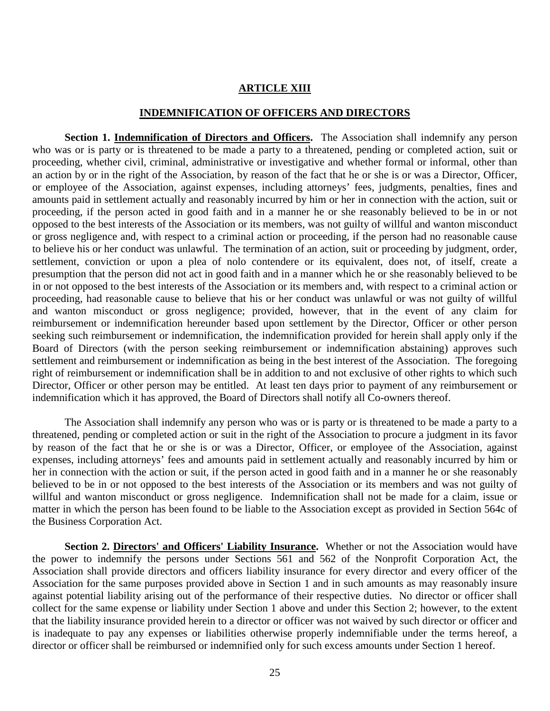### **ARTICLE XIII**

#### **INDEMNIFICATION OF OFFICERS AND DIRECTORS**

**Section 1. Indemnification of Directors and Officers.** The Association shall indemnify any person who was or is party or is threatened to be made a party to a threatened, pending or completed action, suit or proceeding, whether civil, criminal, administrative or investigative and whether formal or informal, other than an action by or in the right of the Association, by reason of the fact that he or she is or was a Director, Officer, or employee of the Association, against expenses, including attorneys' fees, judgments, penalties, fines and amounts paid in settlement actually and reasonably incurred by him or her in connection with the action, suit or proceeding, if the person acted in good faith and in a manner he or she reasonably believed to be in or not opposed to the best interests of the Association or its members, was not guilty of willful and wanton misconduct or gross negligence and, with respect to a criminal action or proceeding, if the person had no reasonable cause to believe his or her conduct was unlawful. The termination of an action, suit or proceeding by judgment, order, settlement, conviction or upon a plea of nolo contendere or its equivalent, does not, of itself, create a presumption that the person did not act in good faith and in a manner which he or she reasonably believed to be in or not opposed to the best interests of the Association or its members and, with respect to a criminal action or proceeding, had reasonable cause to believe that his or her conduct was unlawful or was not guilty of willful and wanton misconduct or gross negligence; provided, however, that in the event of any claim for reimbursement or indemnification hereunder based upon settlement by the Director, Officer or other person seeking such reimbursement or indemnification, the indemnification provided for herein shall apply only if the Board of Directors (with the person seeking reimbursement or indemnification abstaining) approves such settlement and reimbursement or indemnification as being in the best interest of the Association. The foregoing right of reimbursement or indemnification shall be in addition to and not exclusive of other rights to which such Director, Officer or other person may be entitled. At least ten days prior to payment of any reimbursement or indemnification which it has approved, the Board of Directors shall notify all Co-owners thereof.

The Association shall indemnify any person who was or is party or is threatened to be made a party to a threatened, pending or completed action or suit in the right of the Association to procure a judgment in its favor by reason of the fact that he or she is or was a Director, Officer, or employee of the Association, against expenses, including attorneys' fees and amounts paid in settlement actually and reasonably incurred by him or her in connection with the action or suit, if the person acted in good faith and in a manner he or she reasonably believed to be in or not opposed to the best interests of the Association or its members and was not guilty of willful and wanton misconduct or gross negligence. Indemnification shall not be made for a claim, issue or matter in which the person has been found to be liable to the Association except as provided in Section 564c of the Business Corporation Act.

**Section 2. Directors' and Officers' Liability Insurance.** Whether or not the Association would have the power to indemnify the persons under Sections 561 and 562 of the Nonprofit Corporation Act, the Association shall provide directors and officers liability insurance for every director and every officer of the Association for the same purposes provided above in Section 1 and in such amounts as may reasonably insure against potential liability arising out of the performance of their respective duties. No director or officer shall collect for the same expense or liability under Section 1 above and under this Section 2; however, to the extent that the liability insurance provided herein to a director or officer was not waived by such director or officer and is inadequate to pay any expenses or liabilities otherwise properly indemnifiable under the terms hereof, a director or officer shall be reimbursed or indemnified only for such excess amounts under Section 1 hereof.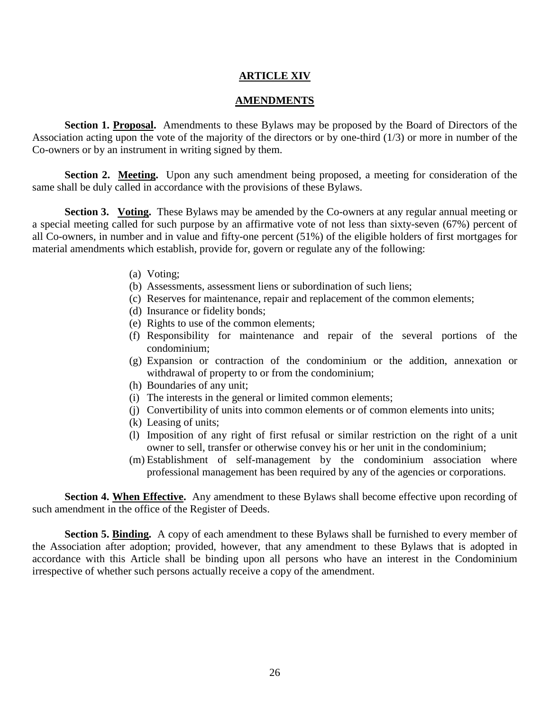# **ARTICLE XIV**

### **AMENDMENTS**

**Section 1. Proposal.** Amendments to these Bylaws may be proposed by the Board of Directors of the Association acting upon the vote of the majority of the directors or by one-third (1/3) or more in number of the Co-owners or by an instrument in writing signed by them.

**Section 2. Meeting.** Upon any such amendment being proposed, a meeting for consideration of the same shall be duly called in accordance with the provisions of these Bylaws.

**Section 3.** Voting. These Bylaws may be amended by the Co-owners at any regular annual meeting or a special meeting called for such purpose by an affirmative vote of not less than sixty-seven (67%) percent of all Co-owners, in number and in value and fifty-one percent (51%) of the eligible holders of first mortgages for material amendments which establish, provide for, govern or regulate any of the following:

- (a) Voting;
- (b) Assessments, assessment liens or subordination of such liens;
- (c) Reserves for maintenance, repair and replacement of the common elements;
- (d) Insurance or fidelity bonds;
- (e) Rights to use of the common elements;
- (f) Responsibility for maintenance and repair of the several portions of the condominium;
- (g) Expansion or contraction of the condominium or the addition, annexation or withdrawal of property to or from the condominium;
- (h) Boundaries of any unit;
- (i) The interests in the general or limited common elements;
- (j) Convertibility of units into common elements or of common elements into units;
- (k) Leasing of units;
- (l) Imposition of any right of first refusal or similar restriction on the right of a unit owner to sell, transfer or otherwise convey his or her unit in the condominium;
- (m) Establishment of self-management by the condominium association where professional management has been required by any of the agencies or corporations.

**Section 4. When Effective.** Any amendment to these Bylaws shall become effective upon recording of such amendment in the office of the Register of Deeds.

**Section 5. Binding.** A copy of each amendment to these Bylaws shall be furnished to every member of the Association after adoption; provided, however, that any amendment to these Bylaws that is adopted in accordance with this Article shall be binding upon all persons who have an interest in the Condominium irrespective of whether such persons actually receive a copy of the amendment.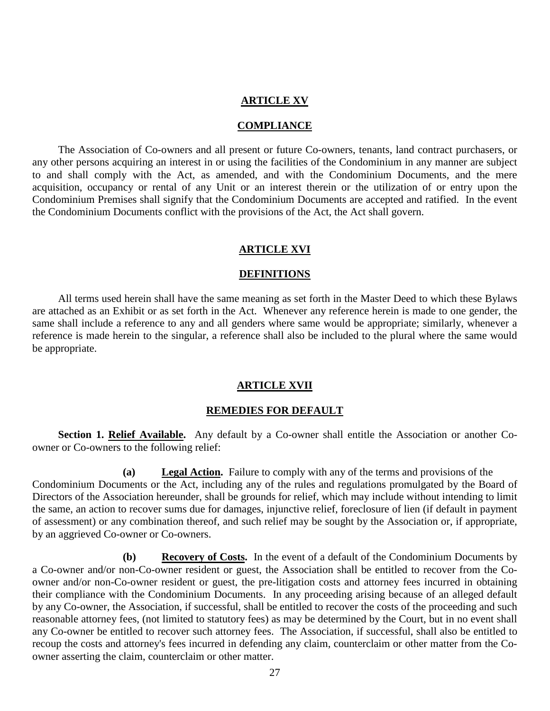### **ARTICLE XV**

#### **COMPLIANCE**

The Association of Co-owners and all present or future Co-owners, tenants, land contract purchasers, or any other persons acquiring an interest in or using the facilities of the Condominium in any manner are subject to and shall comply with the Act, as amended, and with the Condominium Documents, and the mere acquisition, occupancy or rental of any Unit or an interest therein or the utilization of or entry upon the Condominium Premises shall signify that the Condominium Documents are accepted and ratified. In the event the Condominium Documents conflict with the provisions of the Act, the Act shall govern.

#### **ARTICLE XVI**

#### **DEFINITIONS**

All terms used herein shall have the same meaning as set forth in the Master Deed to which these Bylaws are attached as an Exhibit or as set forth in the Act. Whenever any reference herein is made to one gender, the same shall include a reference to any and all genders where same would be appropriate; similarly, whenever a reference is made herein to the singular, a reference shall also be included to the plural where the same would be appropriate.

#### **ARTICLE XVII**

#### **REMEDIES FOR DEFAULT**

Section 1. Relief Available. Any default by a Co-owner shall entitle the Association or another Coowner or Co-owners to the following relief:

**(a) Legal Action .** Failure to comply with any of the terms and provisions of the Condominium Documents or the Act, including any of the rules and regulations promulgated by the Board of Directors of the Association hereunder, shall be grounds for relief, which may include without intending to limit the same, an action to recover sums due for damages, injunctive relief, foreclosure of lien (if default in payment of assessment) or any combination thereof, and such relief may be sought by the Association or, if appropriate, by an aggrieved Co-owner or Co-owners.

**(b) Recovery of Costs.** In the event of a default of the Condominium Documents by a Co-owner and/or non-Co-owner resident or guest, the Association shall be entitled to recover from the Coowner and/or non-Co-owner resident or guest, the pre-litigation costs and attorney fees incurred in obtaining their compliance with the Condominium Documents. In any proceeding arising because of an alleged default by any Co-owner, the Association, if successful, shall be entitled to recover the costs of the proceeding and such reasonable attorney fees, (not limited to statutory fees) as may be determined by the Court, but in no event shall any Co-owner be entitled to recover such attorney fees. The Association, if successful, shall also be entitled to recoup the costs and attorney's fees incurred in defending any claim, counterclaim or other matter from the Coowner asserting the claim, counterclaim or other matter.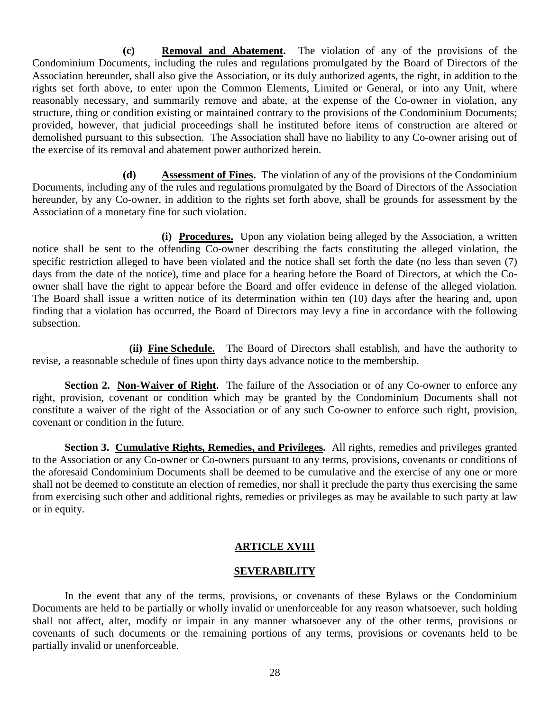**(c) Removal and Abatement.** The violation of any of the provisions of the Condominium Documents, including the rules and regulations promulgated by the Board of Directors of the Association hereunder, shall also give the Association, or its duly authorized agents, the right, in addition to the rights set forth above, to enter upon the Common Elements, Limited or General, or into any Unit, where reasonably necessary, and summarily remove and abate, at the expense of the Co-owner in violation, any structure, thing or condition existing or maintained contrary to the provisions of the Condominium Documents; provided, however, that judicial proceedings shall he instituted before items of construction are altered or demolished pursuant to this subsection. The Association shall have no liability to any Co-owner arising out of the exercise of its removal and abatement power authorized herein.

**(d) Assessment of Fines.** The violation of any of the provisions of the Condominium Documents, including any of the rules and regulations promulgated by the Board of Directors of the Association hereunder, by any Co-owner, in addition to the rights set forth above, shall be grounds for assessment by the Association of a monetary fine for such violation.

**(i) Procedures.** Upon any violation being alleged by the Association, a written notice shall be sent to the offending Co-owner describing the facts constituting the alleged violation, the specific restriction alleged to have been violated and the notice shall set forth the date (no less than seven (7) days from the date of the notice), time and place for a hearing before the Board of Directors, at which the Coowner shall have the right to appear before the Board and offer evidence in defense of the alleged violation. The Board shall issue a written notice of its determination within ten (10) days after the hearing and, upon finding that a violation has occurred, the Board of Directors may levy a fine in accordance with the following subsection.

**(ii) Fine Schedule.** The Board of Directors shall establish, and have the authority to revise, a reasonable schedule of fines upon thirty days advance notice to the membership.

**Section 2. Non-Waiver of Right.** The failure of the Association or of any Co-owner to enforce any right, provision, covenant or condition which may be granted by the Condominium Documents shall not constitute a waiver of the right of the Association or of any such Co-owner to enforce such right, provision, covenant or condition in the future.

**Section 3. Cumulative Rights, Remedies, and Privileges.** All rights, remedies and privileges granted to the Association or any Co-owner or Co-owners pursuant to any terms, provisions, covenants or conditions of the aforesaid Condominium Documents shall be deemed to be cumulative and the exercise of any one or more shall not be deemed to constitute an election of remedies, nor shall it preclude the party thus exercising the same from exercising such other and additional rights, remedies or privileges as may be available to such party at law or in equity.

### **ARTICLE XVIII**

### **SEVERABILITY**

In the event that any of the terms, provisions, or covenants of these Bylaws or the Condominium Documents are held to be partially or wholly invalid or unenforceable for any reason whatsoever, such holding shall not affect, alter, modify or impair in any manner whatsoever any of the other terms, provisions or covenants of such documents or the remaining portions of any terms, provisions or covenants held to be partially invalid or unenforceable.